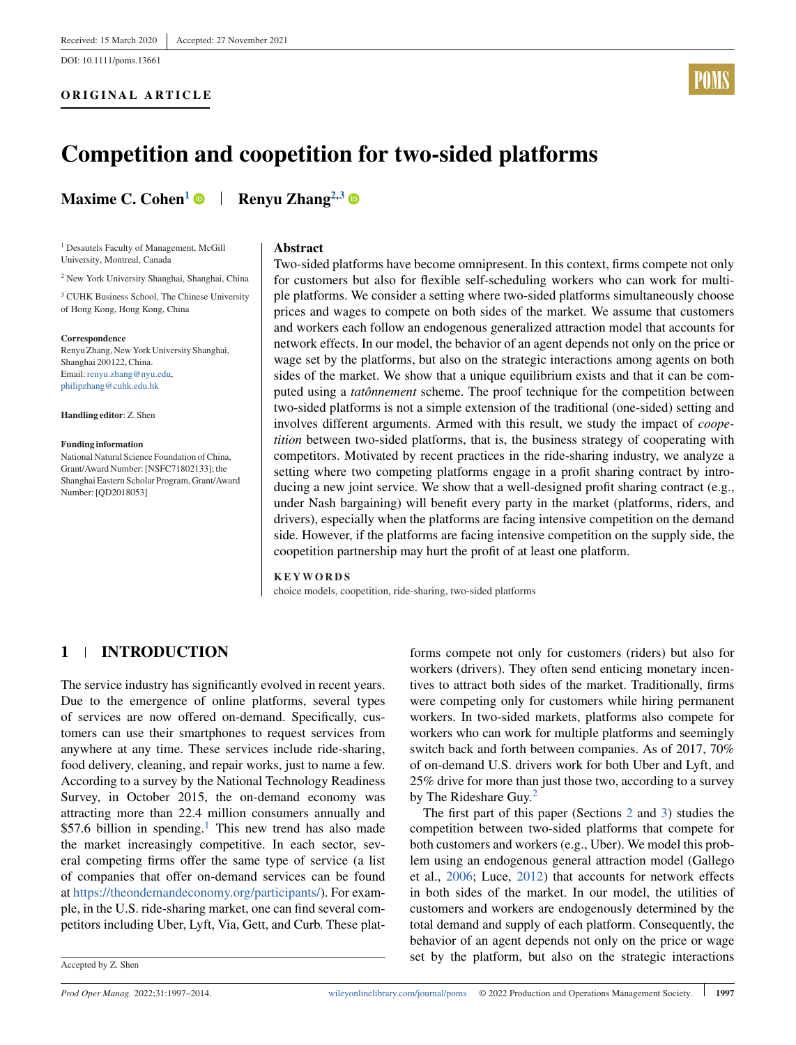DOI: 10.1111/poms.13661

## **ORIGINAL ARTICLE**



# **Competition and coopetition for two-sided platforms**

**Maxime C. Cohen<sup>1</sup> • Renyu Zhang<sup>2,3</sup>** 

<sup>1</sup> Desautels Faculty of Management, McGill University, Montreal, Canada

<sup>2</sup> New York University Shanghai, Shanghai, China

<sup>3</sup> CUHK Business School, The Chinese University of Hong Kong, Hong Kong, China

**Correspondence**

Renyu Zhang, New York University Shanghai, Shanghai 200122, China. Email: renyu.zhang@nyu.edu. [philipzhang@cuhk.edu.hk](mailto:philipzhang@cuhk.edu.hk)

**Handling editor**: Z. Shen

#### **Funding information**

National Natural Science Foundation of China, Grant/Award Number: [NSFC71802133]; the Shanghai Eastern Scholar Program, Grant/Award Number: [QD2018053]

#### **Abstract**

Two-sided platforms have become omnipresent. In this context, firms compete not only for customers but also for flexible self-scheduling workers who can work for multiple platforms. We consider a setting where two-sided platforms simultaneously choose prices and wages to compete on both sides of the market. We assume that customers and workers each follow an endogenous generalized attraction model that accounts for network effects. In our model, the behavior of an agent depends not only on the price or wage set by the platforms, but also on the strategic interactions among agents on both sides of the market. We show that a unique equilibrium exists and that it can be computed using a *tatônnement* scheme. The proof technique for the competition between two-sided platforms is not a simple extension of the traditional (one-sided) setting and involves different arguments. Armed with this result, we study the impact of *coopetition* between two-sided platforms, that is, the business strategy of cooperating with competitors. Motivated by recent practices in the ride-sharing industry, we analyze a setting where two competing platforms engage in a profit sharing contract by introducing a new joint service. We show that a well-designed profit sharing contract (e.g., under Nash bargaining) will benefit every party in the market (platforms, riders, and drivers), especially when the platforms are facing intensive competition on the demand side. However, if the platforms are facing intensive competition on the supply side, the coopetition partnership may hurt the profit of at least one platform.

#### **KEYWORDS**

choice models, coopetition, ride-sharing, two-sided platforms

# **1 INTRODUCTION**

The service industry has significantly evolved in recent years. Due to the emergence of online platforms, several types of services are now offered on-demand. Specifically, customers can use their smartphones to request services from anywhere at any time. These services include ride-sharing, food delivery, cleaning, and repair works, just to name a few. According to a survey by the National Technology Readiness Survey, in October 2015, the on-demand economy was attracting more than 22.4 million consumers annually and  $$57.6$  $$57.6$  $$57.6$  billion in spending.<sup>1</sup> This new trend has also made the market increasingly competitive. In each sector, several competing firms offer the same type of service (a list of companies that offer on-demand services can be found at [https://theondemandeconomy.org/participants/\)](https://theondemandeconomy.org/participants/). For example, in the U.S. ride-sharing market, one can find several competitors including Uber, Lyft, Via, Gett, and Curb. These platforms compete not only for customers (riders) but also for workers (drivers). They often send enticing monetary incentives to attract both sides of the market. Traditionally, firms were competing only for customers while hiring permanent workers. In two-sided markets, platforms also compete for workers who can work for multiple platforms and seemingly switch back and forth between companies. As of 2017, 70% of on-demand U.S. drivers work for both Uber and Lyft, and 25% drive for more than just those two, according to a survey by The Rideshare Guy[.](#page-16-0)<sup>2</sup>

The first part of this paper (Sections [2](#page-3-0) and [3\)](#page-5-0) studies the competition between two-sided platforms that compete for both customers and workers (e.g., Uber). We model this problem using an endogenous general attraction model (Gallego et al., [2006;](#page-17-0) Luce, [2012\)](#page-17-0) that accounts for network effects in both sides of the market. In our model, the utilities of customers and workers are endogenously determined by the total demand and supply of each platform. Consequently, the behavior of an agent depends not only on the price or wage set by the platform, but also on the strategic interactions

Accepted by Z. Shen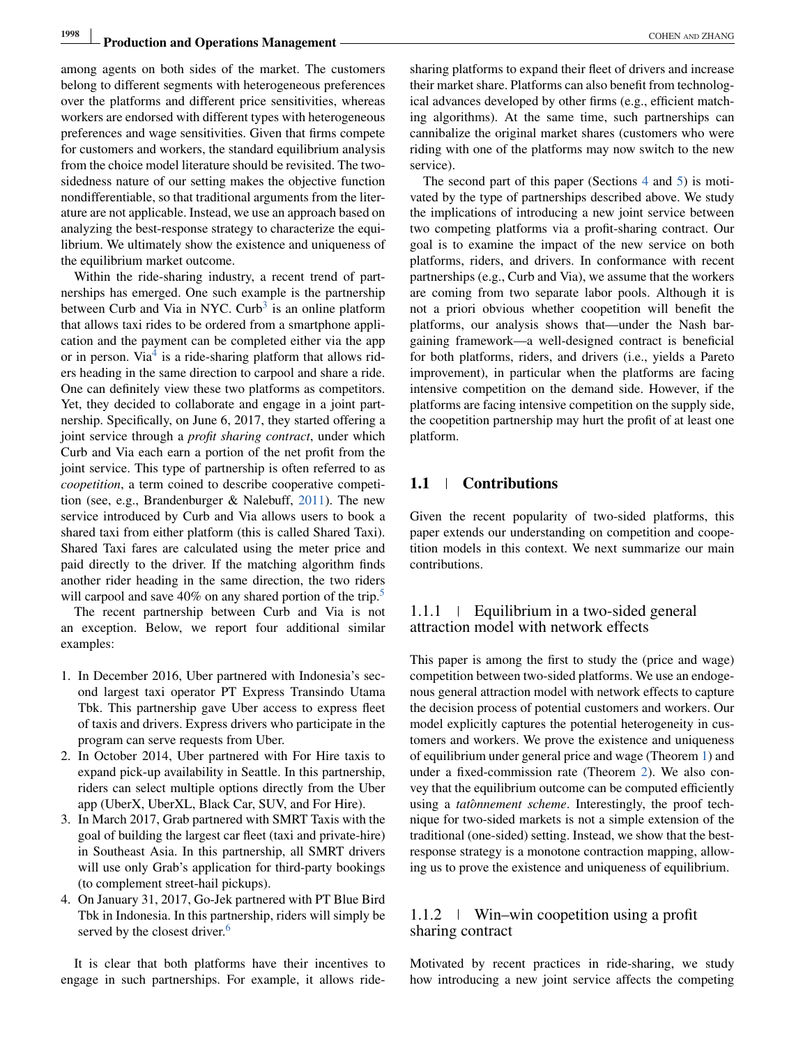# **1998** Production and Operations Management **COHEN AND ZHANG COHEN AND ZHANG**

among agents on both sides of the market. The customers belong to different segments with heterogeneous preferences over the platforms and different price sensitivities, whereas workers are endorsed with different types with heterogeneous preferences and wage sensitivities. Given that firms compete for customers and workers, the standard equilibrium analysis from the choice model literature should be revisited. The twosidedness nature of our setting makes the objective function nondifferentiable, so that traditional arguments from the literature are not applicable. Instead, we use an approach based on analyzing the best-response strategy to characterize the equilibrium. We ultimately show the existence and uniqueness of the equilibrium market outcome.

Within the ride-sharing industry, a recent trend of partnerships has emerged. One such example is the partnership [b](#page-16-0)etween Curb and Via in NYC. Curb<sup>3</sup> is an online platform that allows taxi rides to be ordered from a smartphone application and the payment can be completed either via the app or in person. Vi[a](#page-16-0)<sup>4</sup> is a ride-sharing platform that allows riders heading in the same direction to carpool and share a ride. One can definitely view these two platforms as competitors. Yet, they decided to collaborate and engage in a joint partnership. Specifically, on June 6, 2017, they started offering a joint service through a *profit sharing contract*, under which Curb and Via each earn a portion of the net profit from the joint service. This type of partnership is often referred to as *coopetition*, a term coined to describe cooperative competition (see, e.g., Brandenburger & Nalebuff, [2011\)](#page-17-0). The new service introduced by Curb and Via allows users to book a shared taxi from either platform (this is called Shared Taxi). Shared Taxi fares are calculated using the meter price and paid directly to the driver. If the matching algorithm finds another rider heading in the same direction, the two riders will carpool and save 40% on any shared portion of the trip[.](#page-17-0)<sup>5</sup>

The recent partnership between Curb and Via is not an exception. Below, we report four additional similar examples:

- 1. In December 2016, Uber partnered with Indonesia's second largest taxi operator PT Express Transindo Utama Tbk. This partnership gave Uber access to express fleet of taxis and drivers. Express drivers who participate in the program can serve requests from Uber.
- 2. In October 2014, Uber partnered with For Hire taxis to expand pick-up availability in Seattle. In this partnership, riders can select multiple options directly from the Uber app (UberX, UberXL, Black Car, SUV, and For Hire).
- 3. In March 2017, Grab partnered with SMRT Taxis with the goal of building the largest car fleet (taxi and private-hire) in Southeast Asia. In this partnership, all SMRT drivers will use only Grab's application for third-party bookings (to complement street-hail pickups).
- 4. On January 31, 2017, Go-Jek partnered with PT Blue Bird Tbk in Indonesia. In this partnership, riders will simply be served by the closest driver[.](#page-17-0)<sup>6</sup>

It is clear that both platforms have their incentives to engage in such partnerships. For example, it allows ridesharing platforms to expand their fleet of drivers and increase their market share. Platforms can also benefit from technological advances developed by other firms (e.g., efficient matching algorithms). At the same time, such partnerships can cannibalize the original market shares (customers who were riding with one of the platforms may now switch to the new service).

The second part of this paper (Sections [4](#page-7-0) and [5\)](#page-9-0) is motivated by the type of partnerships described above. We study the implications of introducing a new joint service between two competing platforms via a profit-sharing contract. Our goal is to examine the impact of the new service on both platforms, riders, and drivers. In conformance with recent partnerships (e.g., Curb and Via), we assume that the workers are coming from two separate labor pools. Although it is not a priori obvious whether coopetition will benefit the platforms, our analysis shows that—under the Nash bargaining framework—a well-designed contract is beneficial for both platforms, riders, and drivers (i.e., yields a Pareto improvement), in particular when the platforms are facing intensive competition on the demand side. However, if the platforms are facing intensive competition on the supply side, the coopetition partnership may hurt the profit of at least one platform.

## **1.1 Contributions**

Given the recent popularity of two-sided platforms, this paper extends our understanding on competition and coopetition models in this context. We next summarize our main contributions.

## 1.1.1 Equilibrium in a two-sided general attraction model with network effects

This paper is among the first to study the (price and wage) competition between two-sided platforms. We use an endogenous general attraction model with network effects to capture the decision process of potential customers and workers. Our model explicitly captures the potential heterogeneity in customers and workers. We prove the existence and uniqueness of equilibrium under general price and wage (Theorem [1\)](#page-5-0) and under a fixed-commission rate (Theorem [2\)](#page-6-0). We also convey that the equilibrium outcome can be computed efficiently using a *tatônnement scheme*. Interestingly, the proof technique for two-sided markets is not a simple extension of the traditional (one-sided) setting. Instead, we show that the bestresponse strategy is a monotone contraction mapping, allowing us to prove the existence and uniqueness of equilibrium.

## 1.1.2 Win–win coopetition using a profit sharing contract

Motivated by recent practices in ride-sharing, we study how introducing a new joint service affects the competing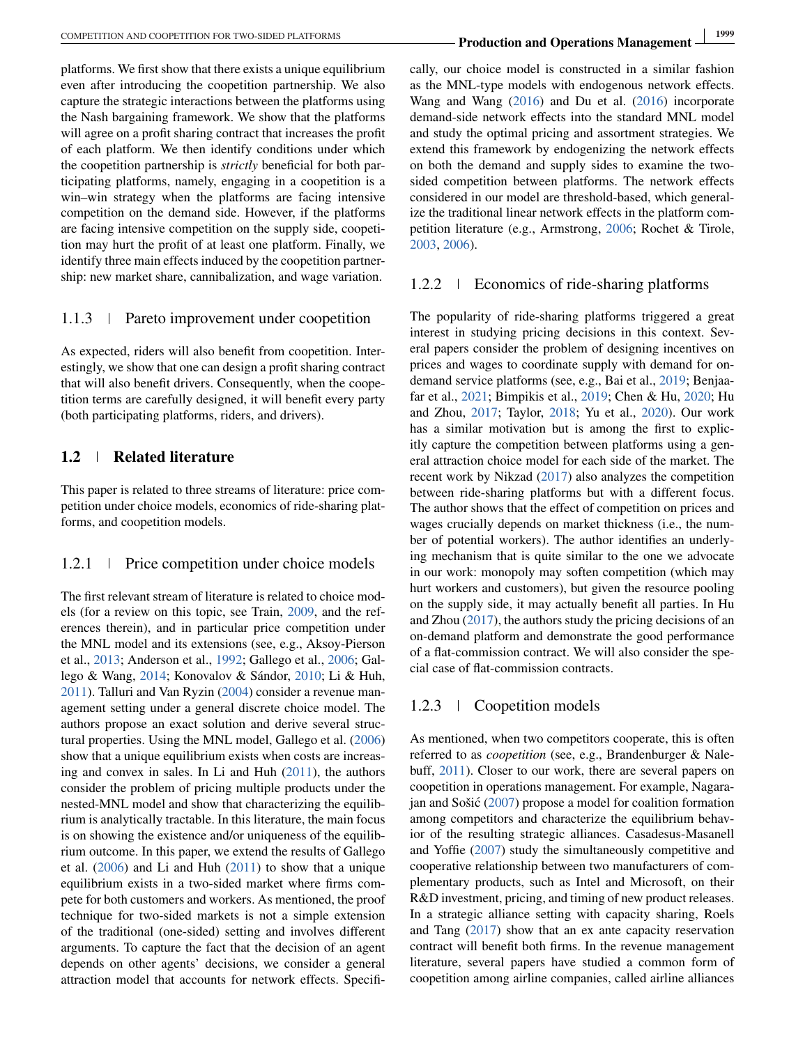platforms. We first show that there exists a unique equilibrium even after introducing the coopetition partnership. We also capture the strategic interactions between the platforms using the Nash bargaining framework. We show that the platforms will agree on a profit sharing contract that increases the profit of each platform. We then identify conditions under which the coopetition partnership is *strictly* beneficial for both participating platforms, namely, engaging in a coopetition is a win–win strategy when the platforms are facing intensive competition on the demand side. However, if the platforms are facing intensive competition on the supply side, coopetition may hurt the profit of at least one platform. Finally, we identify three main effects induced by the coopetition partnership: new market share, cannibalization, and wage variation.

# 1.1.3 Pareto improvement under coopetition

As expected, riders will also benefit from coopetition. Interestingly, we show that one can design a profit sharing contract that will also benefit drivers. Consequently, when the coopetition terms are carefully designed, it will benefit every party (both participating platforms, riders, and drivers).

# **1.2 Related literature**

This paper is related to three streams of literature: price competition under choice models, economics of ride-sharing platforms, and coopetition models.

## 1.2.1 Price competition under choice models

The first relevant stream of literature is related to choice models (for a review on this topic, see Train, [2009,](#page-17-0) and the references therein), and in particular price competition under the MNL model and its extensions (see, e.g., Aksoy-Pierson et al., [2013;](#page-17-0) Anderson et al., [1992;](#page-17-0) Gallego et al., [2006;](#page-17-0) Gallego & Wang, [2014;](#page-17-0) Konovalov & Sándor, [2010;](#page-17-0) Li & Huh, [2011\)](#page-17-0). Talluri and Van Ryzin [\(2004\)](#page-17-0) consider a revenue management setting under a general discrete choice model. The authors propose an exact solution and derive several structural properties. Using the MNL model, Gallego et al. [\(2006\)](#page-17-0) show that a unique equilibrium exists when costs are increasing and convex in sales. In Li and Huh [\(2011\)](#page-17-0), the authors consider the problem of pricing multiple products under the nested-MNL model and show that characterizing the equilibrium is analytically tractable. In this literature, the main focus is on showing the existence and/or uniqueness of the equilibrium outcome. In this paper, we extend the results of Gallego et al. [\(2006\)](#page-17-0) and Li and Huh [\(2011\)](#page-17-0) to show that a unique equilibrium exists in a two-sided market where firms compete for both customers and workers. As mentioned, the proof technique for two-sided markets is not a simple extension of the traditional (one-sided) setting and involves different arguments. To capture the fact that the decision of an agent depends on other agents' decisions, we consider a general attraction model that accounts for network effects. Specifically, our choice model is constructed in a similar fashion as the MNL-type models with endogenous network effects. Wang and Wang [\(2016\)](#page-17-0) and Du et al. [\(2016\)](#page-17-0) incorporate demand-side network effects into the standard MNL model and study the optimal pricing and assortment strategies. We extend this framework by endogenizing the network effects on both the demand and supply sides to examine the twosided competition between platforms. The network effects considered in our model are threshold-based, which generalize the traditional linear network effects in the platform competition literature (e.g., Armstrong, [2006;](#page-17-0) Rochet & Tirole, [2003,](#page-17-0) [2006\)](#page-17-0).

#### 1.2.2 Economics of ride-sharing platforms

The popularity of ride-sharing platforms triggered a great interest in studying pricing decisions in this context. Several papers consider the problem of designing incentives on prices and wages to coordinate supply with demand for ondemand service platforms (see, e.g., Bai et al., [2019;](#page-17-0) Benjaafar et al., [2021;](#page-17-0) Bimpikis et al., [2019;](#page-17-0) Chen & Hu, [2020;](#page-17-0) Hu and Zhou, [2017;](#page-17-0) Taylor, [2018;](#page-17-0) Yu et al., [2020\)](#page-17-0). Our work has a similar motivation but is among the first to explicitly capture the competition between platforms using a general attraction choice model for each side of the market. The recent work by Nikzad [\(2017\)](#page-17-0) also analyzes the competition between ride-sharing platforms but with a different focus. The author shows that the effect of competition on prices and wages crucially depends on market thickness (i.e., the number of potential workers). The author identifies an underlying mechanism that is quite similar to the one we advocate in our work: monopoly may soften competition (which may hurt workers and customers), but given the resource pooling on the supply side, it may actually benefit all parties. In Hu and Zhou [\(2017\)](#page-17-0), the authors study the pricing decisions of an on-demand platform and demonstrate the good performance of a flat-commission contract. We will also consider the special case of flat-commission contracts.

### 1.2.3 Coopetition models

As mentioned, when two competitors cooperate, this is often referred to as *coopetition* (see, e.g., Brandenburger & Nalebuff, [2011\)](#page-17-0). Closer to our work, there are several papers on coopetition in operations management. For example, Nagarajan and Sošić  $(2007)$  $(2007)$  propose a model for coalition formation among competitors and characterize the equilibrium behavior of the resulting strategic alliances. Casadesus-Masanell and Yoffie [\(2007\)](#page-17-0) study the simultaneously competitive and cooperative relationship between two manufacturers of complementary products, such as Intel and Microsoft, on their R&D investment, pricing, and timing of new product releases. In a strategic alliance setting with capacity sharing, Roels and Tang [\(2017\)](#page-17-0) show that an ex ante capacity reservation contract will benefit both firms. In the revenue management literature, several papers have studied a common form of coopetition among airline companies, called airline alliances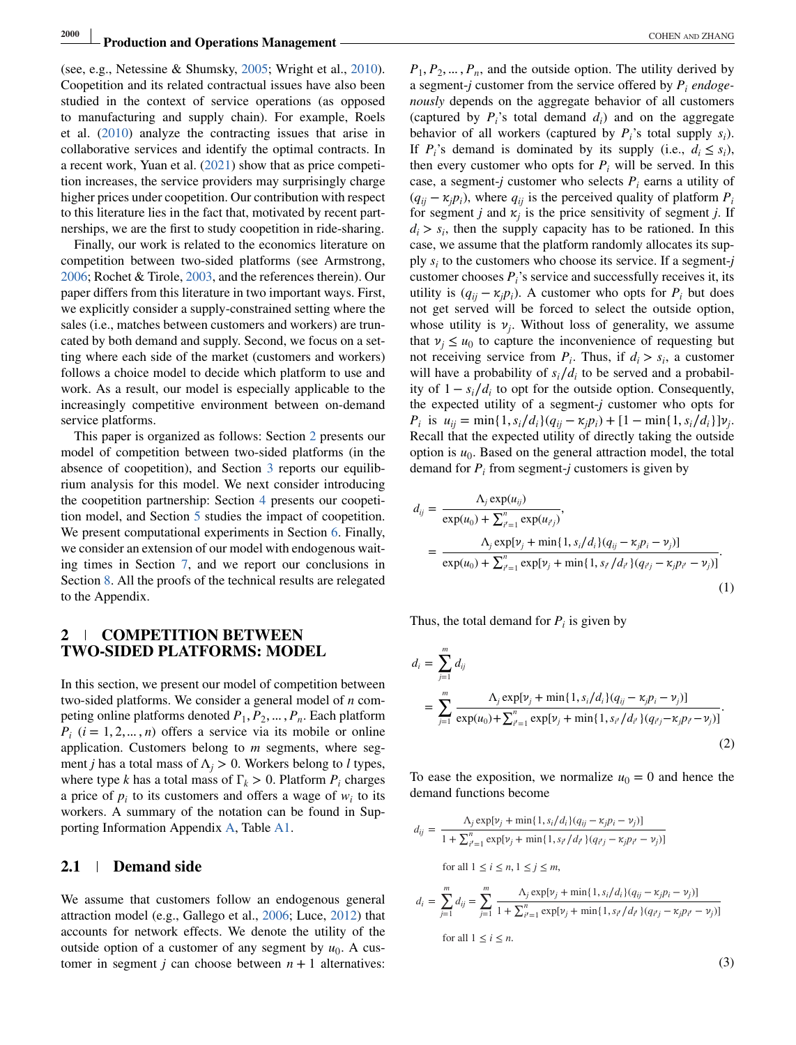<span id="page-3-0"></span>(see, e.g., Netessine & Shumsky, [2005;](#page-17-0) Wright et al., [2010\)](#page-17-0). Coopetition and its related contractual issues have also been studied in the context of service operations (as opposed to manufacturing and supply chain). For example, Roels et al. [\(2010\)](#page-17-0) analyze the contracting issues that arise in collaborative services and identify the optimal contracts. In a recent work, Yuan et al. [\(2021\)](#page-17-0) show that as price competition increases, the service providers may surprisingly charge higher prices under coopetition. Our contribution with respect to this literature lies in the fact that, motivated by recent partnerships, we are the first to study coopetition in ride-sharing.

Finally, our work is related to the economics literature on competition between two-sided platforms (see Armstrong, [2006;](#page-17-0) Rochet & Tirole, [2003,](#page-17-0) and the references therein). Our paper differs from this literature in two important ways. First, we explicitly consider a supply-constrained setting where the sales (i.e., matches between customers and workers) are truncated by both demand and supply. Second, we focus on a setting where each side of the market (customers and workers) follows a choice model to decide which platform to use and work. As a result, our model is especially applicable to the increasingly competitive environment between on-demand service platforms.

This paper is organized as follows: Section 2 presents our model of competition between two-sided platforms (in the absence of coopetition), and Section [3](#page-5-0) reports our equilibrium analysis for this model. We next consider introducing the coopetition partnership: Section [4](#page-7-0) presents our coopetition model, and Section [5](#page-9-0) studies the impact of coopetition. We present computational experiments in Section [6.](#page-12-0) Finally, we consider an extension of our model with endogenous waiting times in Section [7,](#page-13-0) and we report our conclusions in Section [8.](#page-16-0) All the proofs of the technical results are relegated to the Appendix.

## **2 COMPETITION BETWEEN TWO-SIDED PLATFORMS: MODEL**

In this section, we present our model of competition between two-sided platforms. We consider a general model of *n* competing online platforms denoted  $P_1, P_2, \ldots, P_n$ . Each platform  $P_i$  ( $i = 1, 2, ..., n$ ) offers a service via its mobile or online application. Customers belong to *m* segments, where segment *j* has a total mass of  $\Lambda$ <sub>*j*</sub> > 0. Workers belong to *l* types, where type *k* has a total mass of  $\Gamma_k > 0$ . Platform  $P_i$  charges a price of  $p_i$  to its customers and offers a wage of  $w_i$  to its workers. A summary of the notation can be found in Supporting Information Appendix A, Table A1.

#### **2.1 Demand side**

We assume that customers follow an endogenous general attraction model (e.g., Gallego et al., [2006;](#page-17-0) Luce, [2012\)](#page-17-0) that accounts for network effects. We denote the utility of the outside option of a customer of any segment by  $u_0$ . A customer in segment *j* can choose between  $n + 1$  alternatives:

 $P_1, P_2, \ldots, P_n$ , and the outside option. The utility derived by a segment-*j* customer from the service offered by *Pi endogenously* depends on the aggregate behavior of all customers (captured by  $P_i$ 's total demand  $d_i$ ) and on the aggregate behavior of all workers (captured by  $P_i$ 's total supply  $s_i$ ). If  $P_i$ 's demand is dominated by its supply (i.e.,  $d_i \leq s_i$ ), then every customer who opts for  $P_i$  will be served. In this case, a segment-*j* customer who selects  $P_i$  earns a utility of  $(q_{ii} - \kappa_i p_i)$ , where  $q_{ii}$  is the perceived quality of platform  $P_i$ for segment *j* and  $\kappa$  is the price sensitivity of segment *j*. If  $d_i > s_i$ , then the supply capacity has to be rationed. In this case, we assume that the platform randomly allocates its supply *si* to the customers who choose its service. If a segment-*j* customer chooses *Pi*'s service and successfully receives it, its utility is  $(q_{ii} - \kappa_i p_i)$ . A customer who opts for  $P_i$  but does not get served will be forced to select the outside option, whose utility is  $v_j$ . Without loss of generality, we assume that  $v_i \leq u_0$  to capture the inconvenience of requesting but not receiving service from  $P_i$ . Thus, if  $d_i > s_i$ , a customer will have a probability of  $s_i/d_i$  to be served and a probability of  $1 - s_i/d_i$  to opt for the outside option. Consequently, the expected utility of a segment-*j* customer who opts for *P<sub>i</sub>* is  $u_{ij} = \min\{1, s_i/d_i\}(q_{ij} - \kappa_i p_i) + [1 - \min\{1, s_i/d_i\}]v_i$ . Recall that the expected utility of directly taking the outside option is  $u_0$ . Based on the general attraction model, the total demand for  $P_i$  from segment-*j* customers is given by

$$
d_{ij} = \frac{\Lambda_j \exp(u_{ij})}{\exp(u_0) + \sum_{i'=1}^n \exp(u_{i'j})},
$$
  
= 
$$
\frac{\Lambda_j \exp[v_j + \min\{1, s_i/d_i\}(q_{ij} - \kappa_j p_i - v_j)]}{\exp(u_0) + \sum_{i'=1}^n \exp[v_j + \min\{1, s_{i'}/d_{i'}\}(q_{i'j} - \kappa_j p_{i'} - v_j)]}.
$$
  
(1)

Thus, the total demand for  $P_i$  is given by

$$
d_i = \sum_{j=1}^{m} d_{ij}
$$
  
= 
$$
\sum_{j=1}^{m} \frac{\Lambda_j \exp[\nu_j + \min\{1, s_i/d_i\}(q_{ij} - \kappa_j p_i - \nu_j)]}{\exp(u_0) + \sum_{i'=1}^{n} \exp[\nu_j + \min\{1, s_{i'}/d_{i'}\}(q_{i'j} - \kappa_j p_{i'} - \nu_j)]}.
$$
 (2)

To ease the exposition, we normalize  $u_0 = 0$  and hence the demand functions become

$$
d_{ij} = \frac{\Lambda_j \exp[\nu_j + \min\{1, s_i/d_i\}(q_{ij} - \kappa_j p_i - \nu_j)]}{1 + \sum_{i'=1}^n \exp[\nu_j + \min\{1, s_{i'}/d_{i'}\}(q_{i'j} - \kappa_j p_{i'} - \nu_j)]}
$$
  
for all  $1 \le i \le n, 1 \le j \le m$ ,  

$$
d_i = \sum_{j=1}^m d_{ij} = \sum_{j=1}^m \frac{\Lambda_j \exp[\nu_j + \min\{1, s_i/d_i\}(q_{ij} - \kappa_j p_i - \nu_j)]}{1 + \sum_{i'=1}^n \exp[\nu_j + \min\{1, s_{i'}/d_{i'}\}(q_{i'j} - \kappa_j p_{i'} - \nu_j)]}
$$
  
for all  $1 \le i \le n$ .

(3)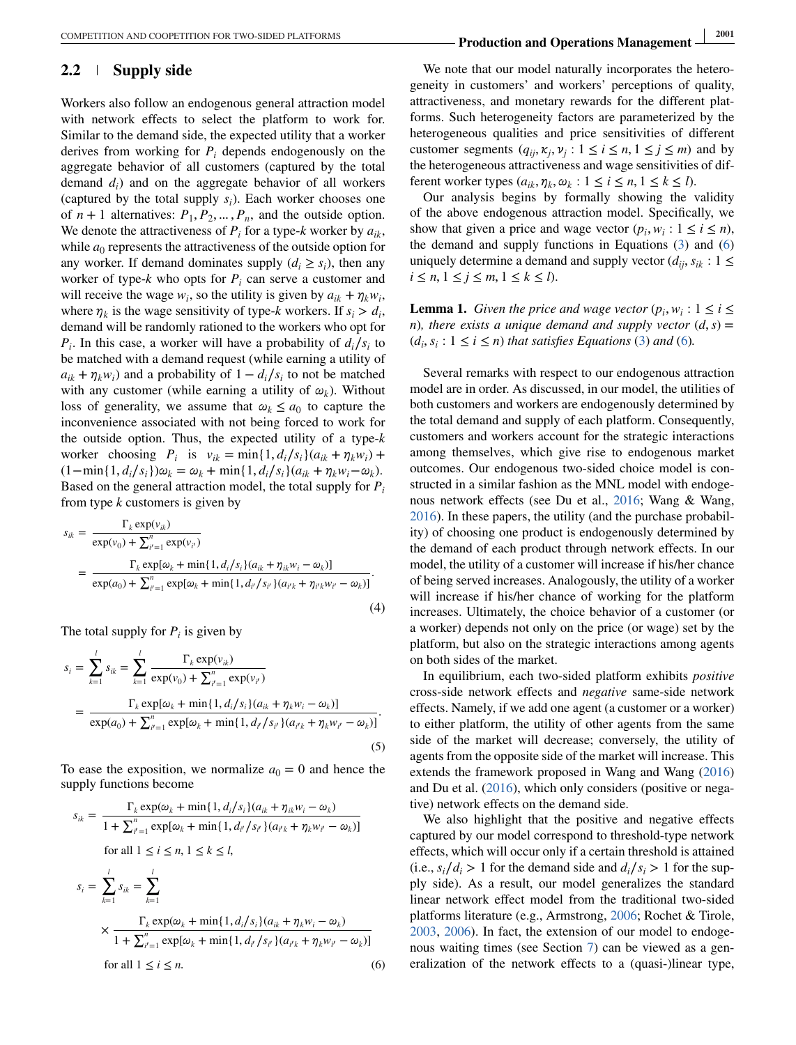## **2.2 Supply side**

Workers also follow an endogenous general attraction model with network effects to select the platform to work for. Similar to the demand side, the expected utility that a worker derives from working for  $P_i$  depends endogenously on the aggregate behavior of all customers (captured by the total demand *di*) and on the aggregate behavior of all workers (captured by the total supply  $s_i$ ). Each worker chooses one of  $n + 1$  alternatives:  $P_1, P_2, \ldots, P_n$ , and the outside option. We denote the attractiveness of  $P_i$  for a type- $k$  worker by  $a_{ik}$ , while  $a_0$  represents the attractiveness of the outside option for any worker. If demand dominates supply  $(d_i \geq s_i)$ , then any worker of type- $k$  who opts for  $P_i$  can serve a customer and will receive the wage  $w_i$ , so the utility is given by  $a_{ik} + \eta_k w_i$ , where  $\eta_k$  is the wage sensitivity of type-*k* workers. If  $s_i > d_i$ , demand will be randomly rationed to the workers who opt for  $P_i$ . In this case, a worker will have a probability of  $d_i/s_i$  to be matched with a demand request (while earning a utility of  $a_{ik} + \eta_k w_i$  and a probability of  $1 - d_i/s_i$  to not be matched with any customer (while earning a utility of  $\omega_k$ ). Without loss of generality, we assume that  $\omega_k \le a_0$  to capture the inconvenience associated with not being forced to work for the outside option. Thus, the expected utility of a type-*k* worker choosing  $P_i$  is  $v_{ik} = \min\{1, d_i/s_i\}(a_{ik} + \eta_k w_i) + \min\{1, d_i/s_i\}(a_{ik} + \eta_k w_i)$  $(1 - \min\{1, d_i/s_i\})\omega_k = \omega_k + \min\{1, d_i/s_i\}(a_{ik} + \eta_k w_i - \omega_k).$ Based on the general attraction model, the total supply for *Pi* from type *k* customers is given by

$$
s_{ik} = \frac{\Gamma_k \exp(v_{ik})}{\exp(v_0) + \sum_{i'=1}^n \exp(v_{i'})}
$$
  
= 
$$
\frac{\Gamma_k \exp[\omega_k + \min\{1, d_i/s_i\} (a_{ik} + \eta_{ik} w_i - \omega_k)]}{\exp(a_0) + \sum_{i'=1}^n \exp[\omega_k + \min\{1, d_{i'}/s_{i'}\} (a_{i'k} + \eta_{i'k} w_{i'} - \omega_k)]}.
$$
(4)

The total supply for  $P_i$  is given by

$$
s_i = \sum_{k=1}^{l} s_{ik} = \sum_{k=1}^{l} \frac{\Gamma_k \exp(v_{ik})}{\exp(v_0) + \sum_{i'=1}^{n} \exp(v_{i'})}
$$
  
= 
$$
\frac{\Gamma_k \exp[\omega_k + \min\{1, d_i/s_i\}(a_{ik} + \eta_k w_i - \omega_k)]}{\exp(a_0) + \sum_{i'=1}^{n} \exp[\omega_k + \min\{1, d_{i'}/s_{i'}\}(a_{i'k} + \eta_k w_{i'} - \omega_k)]}.
$$
(5)

To ease the exposition, we normalize  $a_0 = 0$  and hence the supply functions become

$$
s_{ik} = \frac{\Gamma_k \exp(\omega_k + \min\{1, d_i/s_i\} (a_{ik} + \eta_{ik} w_i - \omega_k)}{1 + \sum_{i'=1}^n \exp[\omega_k + \min\{1, d_{i'} / s_{i'}\} (a_{i'k} + \eta_k w_{i'} - \omega_k)]}
$$
  
for all  $1 \le i \le n, 1 \le k \le l$ ,  

$$
s_i = \sum_{k=1}^l s_{ik} = \sum_{k=1}^l
$$

$$
\times \frac{\Gamma_k \exp(\omega_k + \min\{1, d_i / s_i\} (a_{ik} + \eta_k w_i - \omega_k)}{1 + \sum_{i'=1}^n \exp[\omega_k + \min\{1, d_{i'} / s_{i'}\} (a_{i'k} + \eta_k w_{i'} - \omega_k)]}
$$
  
for all  $1 \le i \le n$ . (6)

We note that our model naturally incorporates the heterogeneity in customers' and workers' perceptions of quality, attractiveness, and monetary rewards for the different platforms. Such heterogeneity factors are parameterized by the heterogeneous qualities and price sensitivities of different customer segments  $(q_{ii}, \kappa_i, \nu_i : 1 \le i \le n, 1 \le j \le m)$  and by the heterogeneous attractiveness and wage sensitivities of different worker types  $(a_{ik}, \eta_k, \omega_k : 1 \le i \le n, 1 \le k \le l$ .

Our analysis begins by formally showing the validity of the above endogenous attraction model. Specifically, we show that given a price and wage vector  $(p_i, w_i : 1 \leq i \leq n)$ , the demand and supply functions in Equations [\(3\)](#page-3-0) and (6) uniquely determine a demand and supply vector  $(d_{ii}, s_{ik}: 1 \leq$ *i* ≤ *n*, 1 ≤ *j* ≤ *m*, 1 ≤ *k* ≤ *l*).

**Lemma 1.** *Given the price and wage vector*  $(p_i, w_i : 1 \leq i \leq j)$ *n*)*, there exists a unique demand and supply vector*  $(d, s)$  =  $(d_i, s_i : 1 \le i \le n)$  *that satisfies Equations* [\(3\)](#page-3-0) *and* (6)*.* 

Several remarks with respect to our endogenous attraction model are in order. As discussed, in our model, the utilities of both customers and workers are endogenously determined by the total demand and supply of each platform. Consequently, customers and workers account for the strategic interactions among themselves, which give rise to endogenous market outcomes. Our endogenous two-sided choice model is constructed in a similar fashion as the MNL model with endogenous network effects (see Du et al., [2016;](#page-17-0) Wang & Wang, [2016\)](#page-17-0). In these papers, the utility (and the purchase probability) of choosing one product is endogenously determined by the demand of each product through network effects. In our model, the utility of a customer will increase if his/her chance of being served increases. Analogously, the utility of a worker will increase if his/her chance of working for the platform increases. Ultimately, the choice behavior of a customer (or a worker) depends not only on the price (or wage) set by the platform, but also on the strategic interactions among agents on both sides of the market.

In equilibrium, each two-sided platform exhibits *positive* cross-side network effects and *negative* same-side network effects. Namely, if we add one agent (a customer or a worker) to either platform, the utility of other agents from the same side of the market will decrease; conversely, the utility of agents from the opposite side of the market will increase. This extends the framework proposed in Wang and Wang [\(2016\)](#page-17-0) and Du et al. [\(2016\)](#page-17-0), which only considers (positive or negative) network effects on the demand side.

We also highlight that the positive and negative effects captured by our model correspond to threshold-type network effects, which will occur only if a certain threshold is attained (i.e.,  $s_i/d_i > 1$  for the demand side and  $d_i/s_i > 1$  for the supply side). As a result, our model generalizes the standard linear network effect model from the traditional two-sided platforms literature (e.g., Armstrong, [2006;](#page-17-0) Rochet & Tirole, [2003,](#page-17-0) [2006\)](#page-17-0). In fact, the extension of our model to endogenous waiting times (see Section [7\)](#page-13-0) can be viewed as a generalization of the network effects to a (quasi-)linear type,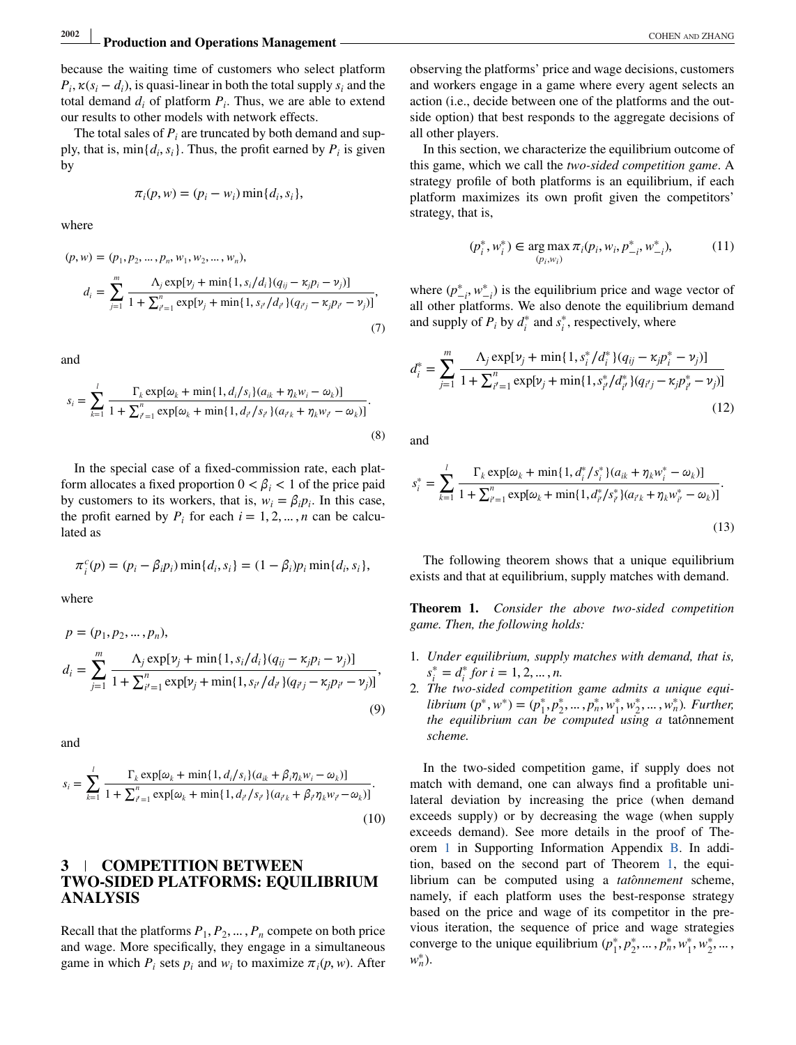# <span id="page-5-0"></span>**2002 Production and Operations Management COHEN AND ZHANG <b>Production and Operations Management**

because the waiting time of customers who select platform  $P_i$ ,  $\kappa(s_i - d_i)$ , is quasi-linear in both the total supply  $s_i$  and the total demand  $d_i$  of platform  $P_i$ . Thus, we are able to extend our results to other models with network effects.

The total sales of  $P_i$  are truncated by both demand and supply, that is,  $\min\{d_i, s_i\}$ . Thus, the profit earned by  $P_i$  is given by

$$
\pi_i(p, w) = (p_i - w_i) \min\{d_i, s_i\},\
$$

where

$$
(p, w) = (p_1, p_2, \dots, p_n, w_1, w_2, \dots, w_n),
$$
  
\n
$$
d_i = \sum_{j=1}^m \frac{\Lambda_j \exp[\nu_j + \min\{1, s_i/d_i\}(q_{ij} - \kappa_j p_i - \nu_j)]}{1 + \sum_{i'=1}^n \exp[\nu_j + \min\{1, s_{i'}/d_{i'}\}(q_{i'j} - \kappa_j p_{i'} - \nu_j)]},
$$
\n(7)

and

$$
s_i = \sum_{k=1}^{l} \frac{\Gamma_k \exp[\omega_k + \min\{1, d_i/s_i\} (a_{ik} + \eta_k w_i - \omega_k)]}{1 + \sum_{i'=1}^{n} \exp[\omega_k + \min\{1, d_{i'}/s_{i'}\} (a_{i'k} + \eta_k w_{i'} - \omega_k)]}.
$$
\n(8)

In the special case of a fixed-commission rate, each platform allocates a fixed proportion  $0 < \beta_i < 1$  of the price paid by customers to its workers, that is,  $w_i = \beta_i p_i$ . In this case, the profit earned by  $P_i$  for each  $i = 1, 2, ..., n$  can be calculated as

$$
\pi_i^c(p) = (p_i - \beta_i p_i) \min\{d_i, s_i\} = (1 - \beta_i) p_i \min\{d_i, s_i\},\
$$

where

$$
p = (p_1, p_2, ..., p_n),
$$
  
\n
$$
d_i = \sum_{j=1}^{m} \frac{\Lambda_j \exp[\nu_j + \min\{1, s_i/d_i\}(q_{ij} - \kappa_j p_i - \nu_j)]}{1 + \sum_{i'=1}^{n} \exp[\nu_j + \min\{1, s_{i'}/d_{i'}\}(q_{i'j} - \kappa_j p_{i'} - \nu_j)]},
$$
\n(9)

and

$$
s_i = \sum_{k=1}^{l} \frac{\Gamma_k \exp[\omega_k + \min\{1, d_i/s_i\}(a_{ik} + \beta_i \eta_k w_i - \omega_k)]}{1 + \sum_{i'=1}^{n} \exp[\omega_k + \min\{1, d_{i'}/s_{i'}\}(a_{i'k} + \beta_{i'} \eta_k w_{i'} - \omega_k)]}.
$$
\n(10)

## **3 COMPETITION BETWEEN TWO-SIDED PLATFORMS: EQUILIBRIUM ANALYSIS**

Recall that the platforms  $P_1, P_2, \ldots, P_n$  compete on both price and wage. More specifically, they engage in a simultaneous game in which  $P_i$  sets  $p_i$  and  $w_i$  to maximize  $\pi_i(p, w)$ . After observing the platforms' price and wage decisions, customers and workers engage in a game where every agent selects an action (i.e., decide between one of the platforms and the outside option) that best responds to the aggregate decisions of all other players.

In this section, we characterize the equilibrium outcome of this game, which we call the *two-sided competition game*. A strategy profile of both platforms is an equilibrium, if each platform maximizes its own profit given the competitors' strategy, that is,

$$
(p_i^*, w_i^*) \in \underset{(p_i, w_i)}{\text{arg max}} \pi_i(p_i, w_i, p_{-i}^*, w_{-i}^*), \tag{11}
$$

where  $(p^*_{-i}, w^*_{-i})$  is the equilibrium price and wage vector of all other platforms. We also denote the equilibrium demand and supply of  $P_i$  by  $d_i^*$  and  $s_i^*$ , respectively, where

$$
d_i^* = \sum_{j=1}^m \frac{\Lambda_j \exp[\nu_j + \min\{1, s_i^* / d_i^*\} (q_{ij} - \kappa_j p_i^* - \nu_j)]}{1 + \sum_{i'=1}^n \exp[\nu_j + \min\{1, s_{i'}^* / d_{i'}^*\} (q_{i'j} - \kappa_j p_{i'}^* - \nu_j)]}
$$
(12)

and

$$
s_i^* = \sum_{k=1}^l \frac{\Gamma_k \exp[\omega_k + \min\{1, d_i^* / s_i^*\} (a_{ik} + \eta_k w_i^* - \omega_k)]}{1 + \sum_{i'=1}^n \exp[\omega_k + \min\{1, d_{i'}^* / s_{i'}^*\} (a_{i'k} + \eta_k w_{i'}^* - \omega_k)]}.
$$
\n(13)

The following theorem shows that a unique equilibrium exists and that at equilibrium, supply matches with demand.

**Theorem 1.** *Consider the above two-sided competition game. Then, the following holds:*

- 1*. Under equilibrium, supply matches with demand, that is,*  $s_i^* = d_i^*$  *for*  $i = 1, 2, ..., n$ .
- 2*. The two-sided competition game admits a unique equilibrium*  $(p^*, w^*) = (p_1^*, p_2^*, \dots, p_n^*, w_1^*, w_2^*, \dots, w_n^*)$ *. Further, the equilibrium can be computed using a* tat*o*̂nnement *scheme.*

In the two-sided competition game, if supply does not match with demand, one can always find a profitable unilateral deviation by increasing the price (when demand exceeds supply) or by decreasing the wage (when supply exceeds demand). See more details in the proof of Theorem 1 in Supporting Information Appendix B. In addition, based on the second part of Theorem 1, the equilibrium can be computed using a *tatônnement* scheme, namely, if each platform uses the best-response strategy based on the price and wage of its competitor in the previous iteration, the sequence of price and wage strategies converge to the unique equilibrium  $(p_1^*, p_2^*, ..., p_n^*, w_1^*, w_2^*, ...$ *w*∗ *n*).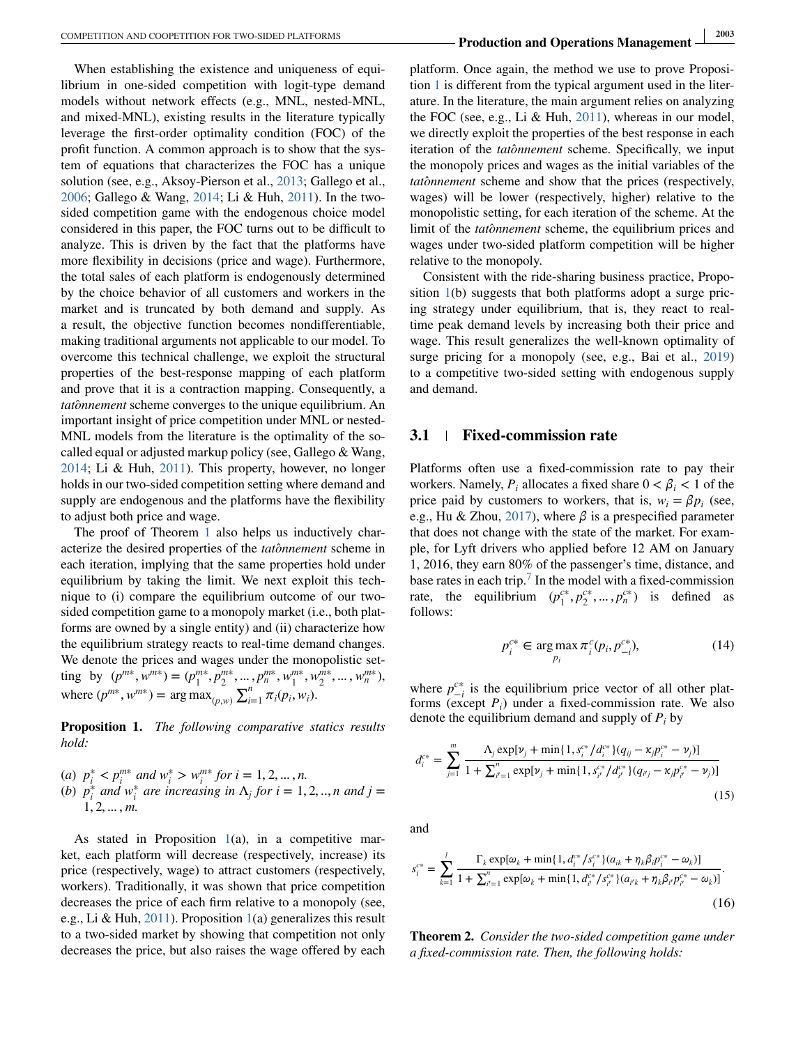<span id="page-6-0"></span>When establishing the existence and uniqueness of equilibrium in one-sided competition with logit-type demand models without network effects (e.g., MNL, nested-MNL, and mixed-MNL), existing results in the literature typically leverage the first-order optimality condition (FOC) of the profit function. A common approach is to show that the system of equations that characterizes the FOC has a unique solution (see, e.g., Aksoy-Pierson et al., [2013;](#page-17-0) Gallego et al., [2006;](#page-17-0) Gallego & Wang, [2014;](#page-17-0) Li & Huh, [2011\)](#page-17-0). In the twosided competition game with the endogenous choice model considered in this paper, the FOC turns out to be difficult to analyze. This is driven by the fact that the platforms have more flexibility in decisions (price and wage). Furthermore, the total sales of each platform is endogenously determined by the choice behavior of all customers and workers in the market and is truncated by both demand and supply. As a result, the objective function becomes nondifferentiable, making traditional arguments not applicable to our model. To overcome this technical challenge, we exploit the structural properties of the best-response mapping of each platform and prove that it is a contraction mapping. Consequently, a tatônnement scheme converges to the unique equilibrium. An important insight of price competition under MNL or nested-MNL models from the literature is the optimality of the socalled equal or adjusted markup policy (see, Gallego & Wang, [2014;](#page-17-0) Li & Huh, [2011\)](#page-17-0). This property, however, no longer holds in our two-sided competition setting where demand and supply are endogenous and the platforms have the flexibility to adjust both price and wage.

The proof of Theorem [1](#page-5-0) also helps us inductively characterize the desired properties of the *tatônnement* scheme in each iteration, implying that the same properties hold under equilibrium by taking the limit. We next exploit this technique to (i) compare the equilibrium outcome of our twosided competition game to a monopoly market (i.e., both platforms are owned by a single entity) and (ii) characterize how the equilibrium strategy reacts to real-time demand changes. We denote the prices and wages under the monopolistic setting by  $(p^{m*}, w^{m*}) = (p_1^{m*}, p_2^{m*}, ..., p_n^{m*}, w_1^{m*}, w_2^{m*}, ..., w_n^{m*}),$ where  $(p^{m*}, w^{m*})$  = arg max $\sum_{i=1}^{n} \pi_i(p_i, w_i)$ .

**Proposition 1.** *The following comparative statics results hold:*

(a) 
$$
p_i^* < p_i^{m*}
$$
 and  $w_i^* > w_i^{m*}$  for  $i = 1, 2, ..., n$ .  
\n(b)  $p_i^*$  and  $w_i^*$  are increasing in  $\Lambda_j$  for  $i = 1, 2, ..., n$  and  $j = 1, 2, ..., m$ .

As stated in Proposition  $1(a)$ , in a competitive market, each platform will decrease (respectively, increase) its price (respectively, wage) to attract customers (respectively, workers). Traditionally, it was shown that price competition decreases the price of each firm relative to a monopoly (see, e.g., Li & Huh, [2011\)](#page-17-0). Proposition  $1(a)$  generalizes this result to a two-sided market by showing that competition not only decreases the price, but also raises the wage offered by each

platform. Once again, the method we use to prove Proposition 1 is different from the typical argument used in the literature. In the literature, the main argument relies on analyzing the FOC (see, e.g., Li & Huh, [2011\)](#page-17-0), whereas in our model, we directly exploit the properties of the best response in each iteration of the *tatônnement* scheme. Specifically, we input the monopoly prices and wages as the initial variables of the tatônnement scheme and show that the prices (respectively, wages) will be lower (respectively, higher) relative to the monopolistic setting, for each iteration of the scheme. At the limit of the *tatonnement* scheme, the equilibrium prices and wages under two-sided platform competition will be higher relative to the monopoly.

Consistent with the ride-sharing business practice, Proposition 1(b) suggests that both platforms adopt a surge pricing strategy under equilibrium, that is, they react to realtime peak demand levels by increasing both their price and wage. This result generalizes the well-known optimality of surge pricing for a monopoly (see, e.g., Bai et al., [2019\)](#page-17-0) to a competitive two-sided setting with endogenous supply and demand.

### **3.1 Fixed-commission rate**

Platforms often use a fixed-commission rate to pay their workers. Namely,  $P_i$  allocates a fixed share  $0 < \beta_i < 1$  of the price paid by customers to workers, that is,  $w_i = \beta p_i$  (see, e.g., Hu & Zhou, [2017\)](#page-17-0), where  $\beta$  is a prespecified parameter that does not change with the state of the market. For example, for Lyft drivers who applied before 12 AM on January 1, 2016, they earn 80% of the passenger's time, distance, and base rates in each trip[.](#page-17-0)<sup>7</sup> In the model with a fixed-commission rate, the equilibrium  $(p_1^{c*}, p_2^{c*}, ..., p_n^{c*})$  is defined as follows:

$$
p_i^{c*} \in \underset{p_i}{\text{arg max}} \pi_i^c(p_i, p_{-i}^{c*}), \tag{14}
$$

where  $p_{-i}^{c*}$  is the equilibrium price vector of all other platforms (except  $P_i$ ) under a fixed-commission rate. We also denote the equilibrium demand and supply of *Pi* by

$$
d_i^{c*} = \sum_{j=1}^{m} \frac{\Lambda_j \exp[\nu_j + \min\{1, s_i^{c*}/d_i^{c*}\} (q_{ij} - \kappa_j p_i^{c*} - \nu_j)]}{1 + \sum_{i'=1}^{n} \exp[\nu_j + \min\{1, s_{i'}^{c*}/d_{i'}^{c*}\} (q_{i'j} - \kappa_j p_{i'}^{c*} - \nu_j)]}
$$
(15)

and

$$
s_i^{c*} = \sum_{k=1}^l \frac{\Gamma_k \exp[\omega_k + \min\{1, d_i^{c*} / s_i^{c*}\} (a_{ik} + \eta_k \beta_i p_i^{c*} - \omega_k)]}{1 + \sum_{i'=1}^n \exp[\omega_k + \min\{1, d_{i'}^{c*} / s_{i'}^{c*}\} (a_{i'k} + \eta_k \beta_i p_{i'}^{c*} - \omega_k)]}.
$$
\n(16)

**Theorem 2.** *Consider the two-sided competition game under a fixed-commission rate. Then, the following holds:*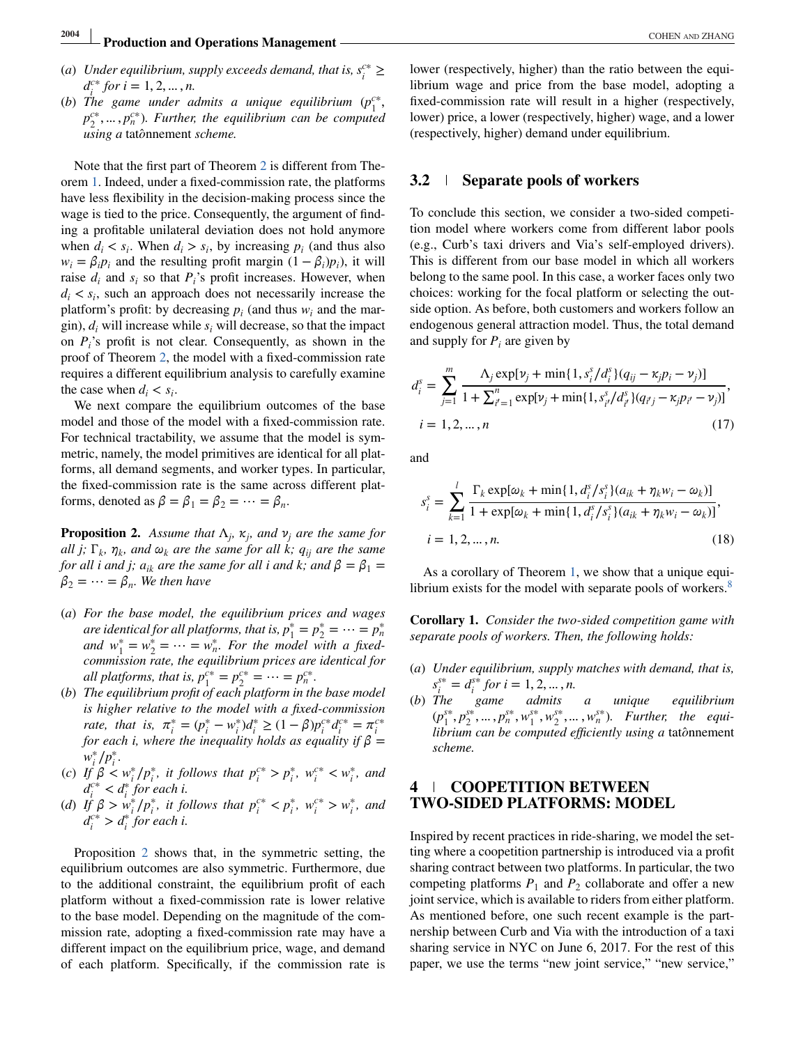- <span id="page-7-0"></span>(*a*) *Under equilibrium, supply exceeds demand, that is,*  $s_i^{c*} \geq$  $d_i^{c*}$  *for*  $i = 1, 2, ..., n$ .
- (*b*) The game under admits a unique equilibrium  $(p_1^{c*},$ *p*<sup>*c*∗</sup>, ..., *p*<sup>*c*∗</sup>). Further, the equilibrium can be computed *using a* tat*o*̂nnement *scheme.*

Note that the first part of Theorem [2](#page-6-0) is different from Theorem [1.](#page-5-0) Indeed, under a fixed-commission rate, the platforms have less flexibility in the decision-making process since the wage is tied to the price. Consequently, the argument of finding a profitable unilateral deviation does not hold anymore when  $d_i < s_i$ . When  $d_i > s_i$ , by increasing  $p_i$  (and thus also  $w_i = \beta_i p_i$  and the resulting profit margin  $(1 - \beta_i)p_i$ , it will raise  $d_i$  and  $s_i$  so that  $P_i$ 's profit increases. However, when  $d_i < s_i$ , such an approach does not necessarily increase the platform's profit: by decreasing  $p_i$  (and thus  $w_i$  and the margin),  $d_i$  will increase while  $s_i$  will decrease, so that the impact on  $P_i$ 's profit is not clear. Consequently, as shown in the proof of Theorem [2,](#page-6-0) the model with a fixed-commission rate requires a different equilibrium analysis to carefully examine the case when  $d_i < s_i$ .

We next compare the equilibrium outcomes of the base model and those of the model with a fixed-commission rate. For technical tractability, we assume that the model is symmetric, namely, the model primitives are identical for all platforms, all demand segments, and worker types. In particular, the fixed-commission rate is the same across different platforms, denoted as  $\beta = \beta_1 = \beta_2 = \cdots = \beta_n$ .

**Proposition 2.** Assume that  $\Lambda_i$ ,  $\kappa_j$ , and  $\nu_j$  are the same for *all j;*  $\Gamma_k$ ,  $\eta_k$ , and  $\omega_k$  *are the same for all k;*  $q_{ij}$  *are the same for all i and j;*  $a_{ik}$  *are the same for all i and k; and*  $\beta = \beta_1$  =  $\beta_2 = \cdots = \beta_n$ . We then have

- (*a*) *For the base model, the equilibrium prices and wages are identical for all platforms, that is,*  $p_1^* = p_2^* = \cdots = p_n^*$ *and*  $w_1^* = w_2^* = \cdots = w_n^*$ . For the model with a fixed*commission rate, the equilibrium prices are identical for all platforms, that is,*  $p_1^{c*} = p_2^{c*} = \cdots = p_n^{c*}$ .
- (*b*) *The equilibrium profit of each platform in the base model is higher relative to the model with a fixed-commission rate, that is,*  $\pi_i^* = (p_i^* - w_i^*)d_i^* \ge (1 - \beta)p_i^{c*}d_i^{c*} = \pi_i^{c*}$ *for each i, where the inequality holds as equality if*  $\beta$  = *w*<sup>∗</sup>*i p*<sup>∗</sup>*<i>i*.
- (*c*) *If*  $\beta \le w_i^* / p_i^*$ , *it follows that*  $p_i^{c*} > p_i^*$ ,  $w_i^{c*} < w_i^*$ , and  $d_i^{c*} < d_i^*$  *for each i.*
- (*d*) *If*  $\beta > w_i^* / p_i^*$ , *it follows that*  $p_i^{c*} < p_i^*$ ,  $w_i^{c*} > w_i^*$ , and  $d_i^{c*} > d_i^{*}$  *for each i.*

Proposition 2 shows that, in the symmetric setting, the equilibrium outcomes are also symmetric. Furthermore, due to the additional constraint, the equilibrium profit of each platform without a fixed-commission rate is lower relative to the base model. Depending on the magnitude of the commission rate, adopting a fixed-commission rate may have a different impact on the equilibrium price, wage, and demand of each platform. Specifically, if the commission rate is

lower (respectively, higher) than the ratio between the equilibrium wage and price from the base model, adopting a fixed-commission rate will result in a higher (respectively, lower) price, a lower (respectively, higher) wage, and a lower (respectively, higher) demand under equilibrium.

## **3.2 Separate pools of workers**

To conclude this section, we consider a two-sided competition model where workers come from different labor pools (e.g., Curb's taxi drivers and Via's self-employed drivers). This is different from our base model in which all workers belong to the same pool. In this case, a worker faces only two choices: working for the focal platform or selecting the outside option. As before, both customers and workers follow an endogenous general attraction model. Thus, the total demand and supply for  $P_i$  are given by

$$
d_i^s = \sum_{j=1}^m \frac{\Lambda_j \exp[\nu_j + \min\{1, s_i^s / d_i^s\} (q_{ij} - \kappa_j p_i - \nu_j)]}{1 + \sum_{i'=1}^n \exp[\nu_j + \min\{1, s_{i'}^s / d_{i'}^s\} (q_{i'j} - \kappa_j p_{i'} - \nu_j)]},
$$
  

$$
i = 1, 2, ..., n
$$
 (17)

and

$$
s_i^s = \sum_{k=1}^l \frac{\Gamma_k \exp[\omega_k + \min\{1, d_i^s / s_i^s\} (a_{ik} + \eta_k w_i - \omega_k)]}{1 + \exp[\omega_k + \min\{1, d_i^s / s_i^s\} (a_{ik} + \eta_k w_i - \omega_k)]},
$$
  

$$
i = 1, 2, ..., n.
$$
 (18)

As a corollary of Theorem [1,](#page-5-0) we show that a unique equi-librium exists for the model with separate pools of workers[.](#page-17-0)<sup>8</sup>

**Corollary 1.** *Consider the two-sided competition game with separate pools of workers. Then, the following holds:*

- (*a*) *Under equilibrium, supply matches with demand, that is,*  $s_i^{s*} = d_i^{s*}$  *for*  $i = 1, 2, ..., n$ .
- (*b*) *The game admits a unique equilibrium*  $(p_1^{s*}, p_2^{s*}, \dots, p_n^{s*}, w_1^{s*}, w_2^{s*}, \dots, w_n^{s*})$ *. Further, the equilibrium can be computed efficiently using a* tat*o*̂nnement *scheme.*

## **4 COOPETITION BETWEEN TWO-SIDED PLATFORMS: MODEL**

Inspired by recent practices in ride-sharing, we model the setting where a coopetition partnership is introduced via a profit sharing contract between two platforms. In particular, the two competing platforms  $P_1$  and  $P_2$  collaborate and offer a new joint service, which is available to riders from either platform. As mentioned before, one such recent example is the partnership between Curb and Via with the introduction of a taxi sharing service in NYC on June 6, 2017. For the rest of this paper, we use the terms "new joint service," "new service,"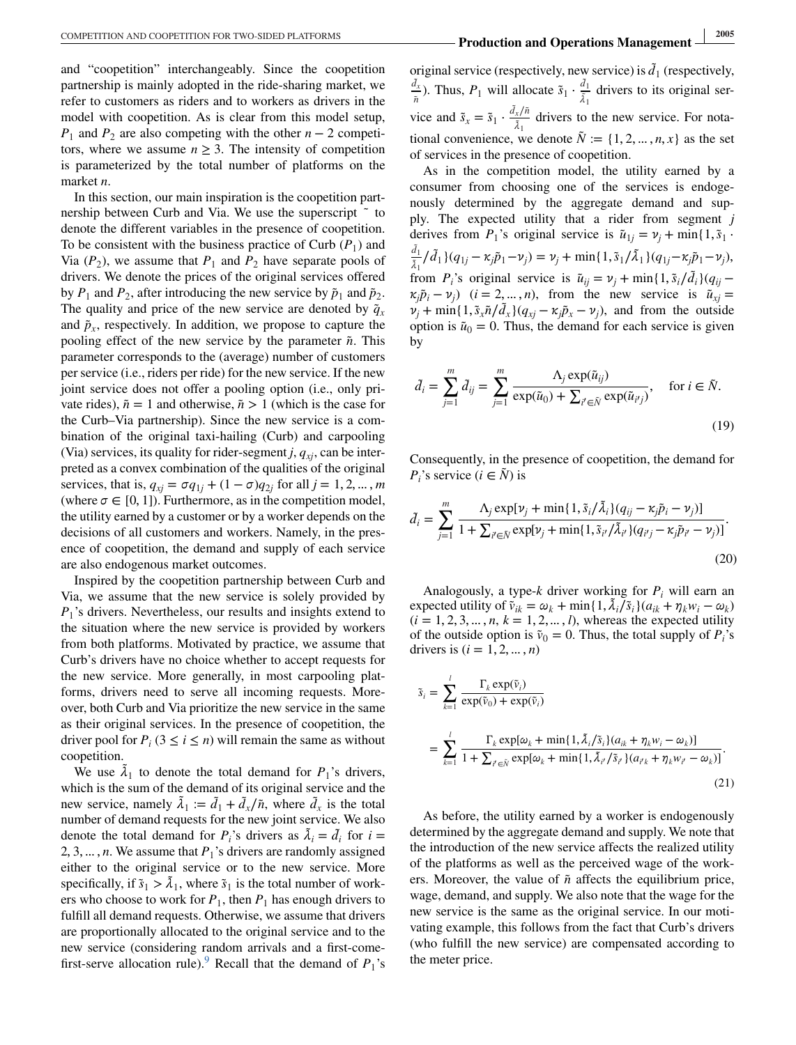and "coopetition" interchangeably. Since the coopetition partnership is mainly adopted in the ride-sharing market, we refer to customers as riders and to workers as drivers in the model with coopetition. As is clear from this model setup, *P*<sub>1</sub> and *P*<sub>2</sub> are also competing with the other *n* − 2 competitors, where we assume  $n \geq 3$ . The intensity of competition is parameterized by the total number of platforms on the market *n*.

In this section, our main inspiration is the coopetition partnership between Curb and Via. We use the superscript  $\tilde{ }$  to denote the different variables in the presence of coopetition. To be consistent with the business practice of Curb  $(P_1)$  and Via  $(P_2)$ , we assume that  $P_1$  and  $P_2$  have separate pools of drivers. We denote the prices of the original services offered by  $P_1$  and  $P_2$ , after introducing the new service by  $\tilde{p}_1$  and  $\tilde{p}_2$ . The quality and price of the new service are denoted by  $\tilde{q}_x$ and  $\tilde{p}_x$ , respectively. In addition, we propose to capture the pooling effect of the new service by the parameter  $\tilde{n}$ . This parameter corresponds to the (average) number of customers per service (i.e., riders per ride) for the new service. If the new joint service does not offer a pooling option (i.e., only private rides),  $\tilde{n} = 1$  and otherwise,  $\tilde{n} > 1$  (which is the case for the Curb–Via partnership). Since the new service is a combination of the original taxi-hailing (Curb) and carpooling (Via) services, its quality for rider-segment  $j$ ,  $q_{xi}$ , can be interpreted as a convex combination of the qualities of the original services, that is,  $q_{xj} = \sigma q_{1j} + (1 - \sigma) q_{2j}$  for all  $j = 1, 2, ..., m$ (where  $\sigma \in [0, 1]$ ). Furthermore, as in the competition model, the utility earned by a customer or by a worker depends on the decisions of all customers and workers. Namely, in the presence of coopetition, the demand and supply of each service are also endogenous market outcomes.

Inspired by the coopetition partnership between Curb and Via, we assume that the new service is solely provided by  $P_1$ 's drivers. Nevertheless, our results and insights extend to the situation where the new service is provided by workers from both platforms. Motivated by practice, we assume that Curb's drivers have no choice whether to accept requests for the new service. More generally, in most carpooling platforms, drivers need to serve all incoming requests. Moreover, both Curb and Via prioritize the new service in the same as their original services. In the presence of coopetition, the driver pool for  $P_i$  (3  $\leq$  *i*  $\leq$  *n*) will remain the same as without coopetition.

We use  $\tilde{\lambda}_1$  to denote the total demand for  $P_1$ 's drivers, which is the sum of the demand of its original service and the new service, namely  $\tilde{\lambda}_1 := \tilde{d}_1 + \tilde{d}_x / \tilde{n}$ , where  $\tilde{d}_x$  is the total number of demand requests for the new joint service. We also denote the total demand for  $P_i$ 's drivers as  $\tilde{\lambda}_i = \tilde{d}_i$  for  $i =$ 2, 3, ..., *n*. We assume that  $P_1$ 's drivers are randomly assigned either to the original service or to the new service. More specifically, if  $\tilde{s}_1 > \tilde{\lambda}_1$ , where  $\tilde{s}_1$  is the total number of workers who choose to work for  $P_1$ , then  $P_1$  has enough drivers to fulfill all demand requests. Otherwise, we assume that drivers are proportionally allocated to the original service and to the new service (considering random arrivals and a first-come-first-serve allocation rule)[.](#page-17-0)<sup>9</sup> Recall that the demand of  $P_1$ 's

original service (respectively, new service) is  $\tilde{d}_1$  (respectively,  $\frac{d_x}{\hbar}$ ). Thus, *P*<sub>1</sub> will allocate  $\tilde{s}_1 \cdot \frac{d_1}{\tilde{\lambda}_1}$  drivers to its original service and  $\tilde{s}_x = \tilde{s}_1 \cdot \frac{\tilde{d}_x/\tilde{n}}{\tilde{s}_1}$  drivers to  $\frac{x}{\lambda_1}$  drivers to the new service. For notational convenience, we denote  $\tilde{N}$  := {1, 2, ..., *n*, *x*} as the set of services in the presence of coopetition.

As in the competition model, the utility earned by a consumer from choosing one of the services is endogenously determined by the aggregate demand and supply. The expected utility that a rider from segment *j* derives from  $P_1$ 's original service is  $\tilde{u}_{1j} = v_j + \min\{1, \tilde{s}_1\}$  $\frac{d_1}{\lambda_1}$ / $\tilde{d}_1$ }(*q*<sub>1*j*</sub> −  $\kappa_j \tilde{p}_1 - \nu_j$ ) =  $\nu_j$  + min{1,  $\tilde{s}_1$ / $\tilde{\lambda}_1$ }(*q*<sub>1*j*</sub>- $\kappa_j \tilde{p}_1 - \nu_j$ ), from *P<sub>i</sub>*'s original service is  $\tilde{u}_{ij} = v_j + \min\{1, \tilde{s}_i/\tilde{d}_i\} (q_{ij} - q_{ij})$  $\chi_i \tilde{p}_i - \nu_i$ ) (*i* = 2, ..., *n*), from the new service is  $\tilde{u}_{xi}$  =  $\nu_j$  + min{1,  $\tilde{s}_x \tilde{n}/\tilde{d}_x$ }( $q_{xj} - \kappa_j \tilde{p}_x - \nu_j$ ), and from the outside option is  $\tilde{u}_0 = 0$ . Thus, the demand for each service is given by

$$
\tilde{d}_i = \sum_{j=1}^m \tilde{d}_{ij} = \sum_{j=1}^m \frac{\Lambda_j \exp(\tilde{u}_{ij})}{\exp(\tilde{u}_0) + \sum_{i' \in \tilde{N}} \exp(\tilde{u}_{i'j})}, \quad \text{for } i \in \tilde{N}.
$$
\n(19)

Consequently, in the presence of coopetition, the demand for *P<sub>i</sub>*'s service ( $i \in \tilde{N}$ ) is

$$
\tilde{d}_{i} = \sum_{j=1}^{m} \frac{\Lambda_{j} \exp[\nu_{j} + \min\{1, \tilde{s}_{i}/\tilde{\lambda}_{i}\}(q_{ij} - \kappa_{j}\tilde{p}_{i} - \nu_{j})]}{1 + \sum_{i' \in \tilde{N}} \exp[\nu_{j} + \min\{1, \tilde{s}_{i'}/\tilde{\lambda}_{i'}\}(q_{i'j} - \kappa_{j}\tilde{p}_{i'} - \nu_{j})]}.
$$
\n(20)

Analogously, a type-*k* driver working for *Pi* will earn an expected utility of  $\tilde{v}_{ik} = \omega_k + \min\{1, \tilde{\lambda}_i / \tilde{s}_i\} (a_{ik} + \eta_k w_i - \omega_k)$  $(i = 1, 2, 3, ..., n, k = 1, 2, ..., l)$ , whereas the expected utility of the outside option is  $\tilde{v}_0 = 0$ . Thus, the total supply of  $P_i$ 's drivers is  $(i = 1, 2, ..., n)$ 

$$
\tilde{s}_i = \sum_{k=1}^l \frac{\Gamma_k \exp(\tilde{v}_i)}{\exp(\tilde{v}_0) + \exp(\tilde{v}_i)}
$$
\n
$$
= \sum_{k=1}^l \frac{\Gamma_k \exp[\omega_k + \min\{1, \tilde{\lambda}_i/\tilde{s}_i\}(a_{ik} + \eta_k w_i - \omega_k)]}{1 + \sum_{i' \in \tilde{N}} \exp[\omega_k + \min\{1, \tilde{\lambda}_{i'}/\tilde{s}_{i'}\}(a_{i'k} + \eta_k w_{i'} - \omega_k)]}.
$$
\n(21)

As before, the utility earned by a worker is endogenously determined by the aggregate demand and supply. We note that the introduction of the new service affects the realized utility of the platforms as well as the perceived wage of the workers. Moreover, the value of  $\tilde{n}$  affects the equilibrium price, wage, demand, and supply. We also note that the wage for the new service is the same as the original service. In our motivating example, this follows from the fact that Curb's drivers (who fulfill the new service) are compensated according to the meter price.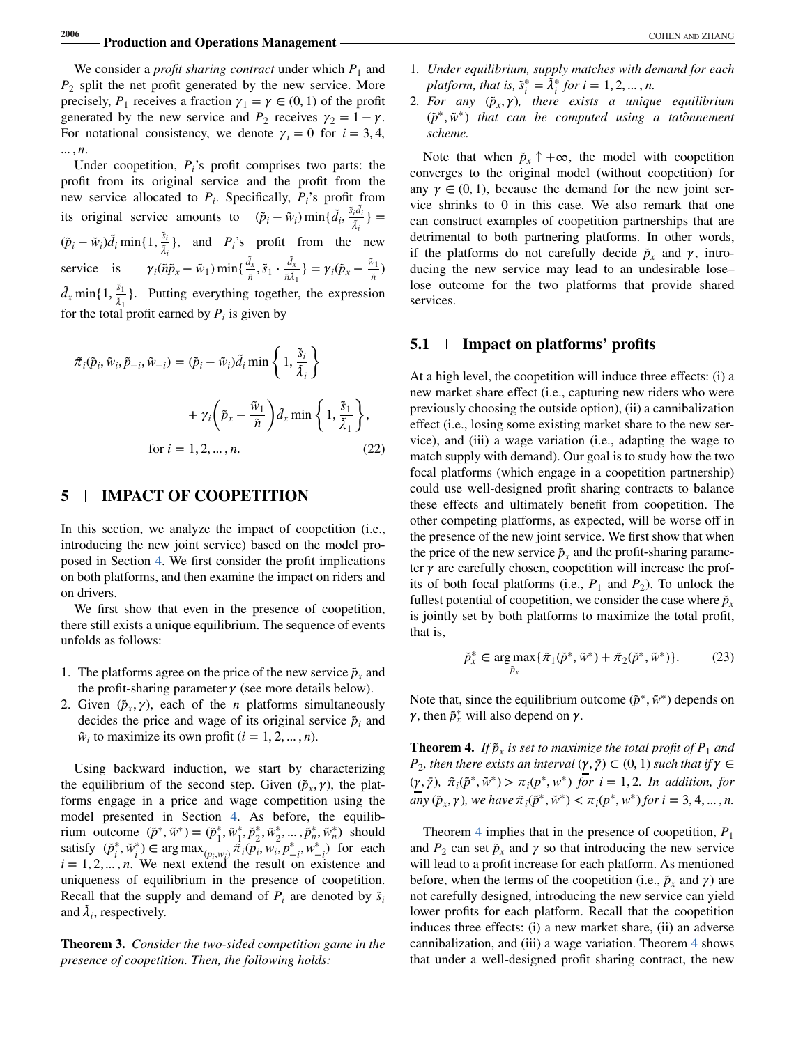# **2006** Production and Operations Management **And ZHANG** COHEN AND ZHANG

<span id="page-9-0"></span>We consider a *profit sharing contract* under which  $P_1$  and  $P_2$  split the net profit generated by the new service. More precisely,  $P_1$  receives a fraction  $\gamma_1 = \gamma \in (0, 1)$  of the profit generated by the new service and  $P_2$  receives  $\gamma_2 = 1 - \gamma$ . For notational consistency, we denote  $\gamma_i = 0$  for  $i = 3, 4$ , … , *n*.

Under coopetition,  $P_i$ 's profit comprises two parts: the profit from its original service and the profit from the new service allocated to  $P_i$ . Specifically,  $P_i$ 's profit from its original service amounts to  $(\tilde{p}_i - \tilde{w}_i) \min\{\tilde{d}_i, \frac{\tilde{s}_i \tilde{d}_i}{\tilde{\lambda}_i}\}$  $(\tilde{p}_i - \tilde{w}_i)\tilde{d}_i$  min{1,  $\frac{\tilde{s}_i}{\tilde{\lambda}_i}$ }, and *P<sub>i</sub>*'s profit from the new service is  $\gamma_i(\tilde{n}\tilde{p}_x - \tilde{w}_1) \min\{\frac{d_x}{\tilde{n}}, \tilde{s}_1 \cdot \frac{d_x}{\tilde{n}\tilde{\lambda}_1}\} = \gamma_i(\tilde{p}_x - \frac{\tilde{w}_1}{\tilde{n}})$  $d_x$  min{1,  $\frac{\tilde{s}_1}{\tilde{\lambda}_1}$ }. Putting everything together, the expression for the total profit earned by  $P_i$  is given by

$$
\tilde{\pi}_i(\tilde{p}_i, \tilde{w}_i, \tilde{p}_{-i}, \tilde{w}_{-i}) = (\tilde{p}_i - \tilde{w}_i) \tilde{d}_i \min\left\{1, \frac{\tilde{s}_i}{\tilde{\lambda}_i}\right\}
$$

$$
+ \gamma_i \left(\tilde{p}_x - \frac{\tilde{w}_1}{\tilde{n}}\right) \tilde{d}_x \min\left\{1, \frac{\tilde{s}_1}{\tilde{\lambda}_1}\right\},\
$$
for  $i = 1, 2, ..., n$ . (22)

## **5 IMPACT OF COOPETITION**

In this section, we analyze the impact of coopetition (i.e., introducing the new joint service) based on the model proposed in Section [4.](#page-7-0) We first consider the profit implications on both platforms, and then examine the impact on riders and on drivers.

We first show that even in the presence of coopetition, there still exists a unique equilibrium. The sequence of events unfolds as follows:

- 1. The platforms agree on the price of the new service  $\tilde{p}_x$  and the profit-sharing parameter  $\gamma$  (see more details below).
- 2. Given  $(\tilde{p}_x, \gamma)$ , each of the *n* platforms simultaneously decides the price and wage of its original service  $\tilde{p}_i$  and  $\tilde{w}_i$  to maximize its own profit ( $i = 1, 2, \ldots, n$ ).

Using backward induction, we start by characterizing the equilibrium of the second step. Given  $(\tilde{p}_x, \gamma)$ , the platforms engage in a price and wage competition using the model presented in Section [4.](#page-7-0) As before, the equilibrium outcome  $(\tilde{p}^*, \tilde{w}^*) = (\tilde{p}_1^*, \tilde{w}_1^*, \tilde{p}_2^*, \tilde{w}_2^*, \dots, \tilde{p}_n^*, \tilde{w}_n^*)$  should satisfy  $(\tilde{p}_i^*, \tilde{w}_i^*)$  ∈ arg max $_{(p_i, w_i)} \tilde{\pi}_i(p_i, w_i, p_{-i}^*, w_{-i}^*)$  for each  $i = 1, 2, \dots, n$ . We next extend the result on existence and uniqueness of equilibrium in the presence of coopetition. Recall that the supply and demand of  $P_i$  are denoted by  $\tilde{s}_i$ and  $\lambda_i$ , respectively.

**Theorem 3.** *Consider the two-sided competition game in the presence of coopetition. Then, the following holds:*

- 1*. Under equilibrium, supply matches with demand for each platform, that is,*  $\tilde{s}_i^* = \tilde{\lambda}_i^*$  *for i* = 1, 2, ..., *n.*
- 2*. For any*  $(\tilde{p}_x, \gamma)$ , there exists a unique equilibrium (*p*̃∗, ̃*w*∗) *that can be computed using a tatonnement* ̂ *scheme.*

Note that when  $\tilde{p}_x \uparrow +\infty$ , the model with coopetition converges to the original model (without coopetition) for any  $\gamma \in (0, 1)$ , because the demand for the new joint service shrinks to 0 in this case. We also remark that one can construct examples of coopetition partnerships that are detrimental to both partnering platforms. In other words, if the platforms do not carefully decide  $\tilde{p}_x$  and  $\gamma$ , introducing the new service may lead to an undesirable lose– lose outcome for the two platforms that provide shared services.

#### **5.1 Impact on platforms' profits**

At a high level, the coopetition will induce three effects: (i) a new market share effect (i.e., capturing new riders who were previously choosing the outside option), (ii) a cannibalization effect (i.e., losing some existing market share to the new service), and (iii) a wage variation (i.e., adapting the wage to match supply with demand). Our goal is to study how the two focal platforms (which engage in a coopetition partnership) could use well-designed profit sharing contracts to balance these effects and ultimately benefit from coopetition. The other competing platforms, as expected, will be worse off in the presence of the new joint service. We first show that when the price of the new service  $\tilde{p}_x$  and the profit-sharing parameter  $\gamma$  are carefully chosen, coopetition will increase the profits of both focal platforms (i.e.,  $P_1$  and  $P_2$ ). To unlock the fullest potential of coopetition, we consider the case where  $\tilde{p}_x$ is jointly set by both platforms to maximize the total profit, that is,

$$
\tilde{p}_x^* \in \underset{\tilde{p}_x}{\arg \max} \{ \tilde{\pi}_1(\tilde{p}^*, \tilde{w}^*) + \tilde{\pi}_2(\tilde{p}^*, \tilde{w}^*) \}. \tag{23}
$$

Note that, since the equilibrium outcome ( $\tilde{p}^*, \tilde{w}^*$ ) depends on  $\gamma$ , then  $\tilde{p}_x^*$  will also depend on  $\gamma$ .

**Theorem 4.** *If*  $\tilde{p}_x$  *is set to maximize the total profit of*  $P_1$  *and P*<sub>2</sub>*, then there exists an interval*  $(\gamma, \bar{\gamma}) \subset (0, 1)$  *such that if*  $\gamma \in$  $(\gamma, \bar{\gamma})$ ,  $\tilde{\pi}_i(\tilde{p}^*, \tilde{w}^*) > \pi_i(p^*, w^*)$  *for*  $i = 1, 2$ *. In addition, for any*  $(\tilde{p}_x, \gamma)$ *, we have*  $\tilde{\pi}_i(\tilde{p}^*, \tilde{w}^*) < \pi_i(p^*, w^*)$  *for*  $i = 3, 4, ..., n$ *.* 

Theorem 4 implies that in the presence of coopetition,  $P_1$ and  $P_2$  can set  $\tilde{p}_x$  and  $\gamma$  so that introducing the new service will lead to a profit increase for each platform. As mentioned before, when the terms of the coopetition (i.e.,  $\tilde{p}_x$  and  $\gamma$ ) are not carefully designed, introducing the new service can yield lower profits for each platform. Recall that the coopetition induces three effects: (i) a new market share, (ii) an adverse cannibalization, and (iii) a wage variation. Theorem 4 shows that under a well-designed profit sharing contract, the new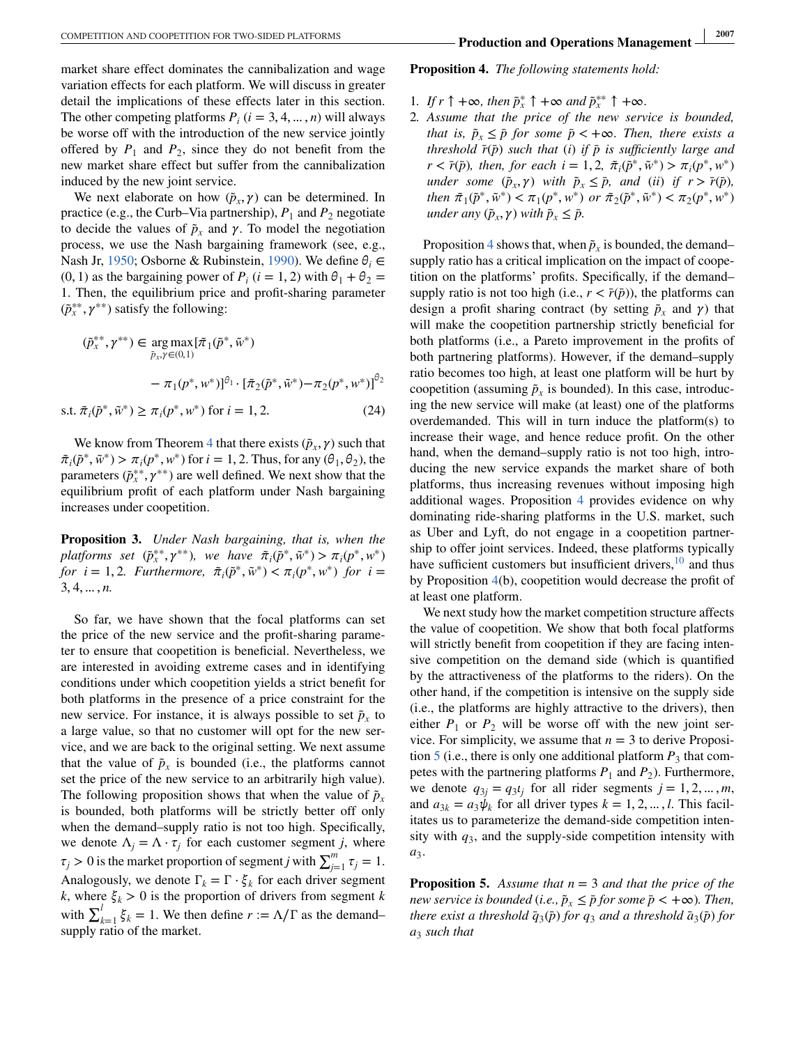<span id="page-10-0"></span>market share effect dominates the cannibalization and wage variation effects for each platform. We will discuss in greater detail the implications of these effects later in this section. The other competing platforms  $P_i$  ( $i = 3, 4, ..., n$ ) will always be worse off with the introduction of the new service jointly offered by  $P_1$  and  $P_2$ , since they do not benefit from the new market share effect but suffer from the cannibalization induced by the new joint service.

We next elaborate on how  $(\tilde{p}_x, \gamma)$  can be determined. In practice (e.g., the Curb–Via partnership),  $P_1$  and  $P_2$  negotiate to decide the values of  $\tilde{p}_x$  and  $\gamma$ . To model the negotiation process, we use the Nash bargaining framework (see, e.g., Nash Jr, [1950;](#page-17-0) Osborne & Rubinstein, [1990\)](#page-17-0). We define  $\theta_i \in$  $(0, 1)$  as the bargaining power of  $P_i$  ( $i = 1, 2$ ) with  $\theta_1 + \theta_2 =$ 1. Then, the equilibrium price and profit-sharing parameter (*p*̃∗∗ *<sup>x</sup>* , ∗∗) satisfy the following:

$$
(\tilde{p}_x^{**}, \gamma^{**}) \in \underset{\tilde{p}_x, \gamma \in (0,1)}{\arg \max} {\{\tilde{\pi}_1(\tilde{p}^*, \tilde{w}^*)\}}
$$
  
-  $\pi_1(p^*, w^*)]^{\theta_1} \cdot {\{\tilde{\pi}_2(\tilde{p}^*, \tilde{w}^*) - \pi_2(p^*, w^*)\}}^{\theta_2}$   
s.t.  $\tilde{\pi}_i(\tilde{p}^*, \tilde{w}^*) \ge \pi_i(p^*, w^*)$  for  $i = 1, 2$ . (24)

We know from Theorem [4](#page-9-0) that there exists  $(\tilde{p}_x, \gamma)$  such that  $\tilde{\pi}_i(\tilde{p}^*, \tilde{w}^*) > \pi_i(p^*, w^*)$  for  $i = 1, 2$ . Thus, for any  $(\theta_1, \theta_2)$ , the parameters  $(\tilde{p}_{x}^{**}, \gamma^{**})$  are well defined. We next show that the equilibrium profit of each platform under Nash bargaining increases under coopetition.

**Proposition 3.** *Under Nash bargaining, that is, when the*  $p$ *latforms set*  $(\tilde{p}_x^{**}, \gamma^{**})$ *, we have*  $\tilde{\pi}_i(\tilde{p}^*, \tilde{w}^*) > \pi_i(p^*, w^*)$ *for*  $i = 1, 2$ *. Furthermore,*  $\tilde{\pi}_i(\tilde{p}^*, \tilde{w}^*) < \pi_i(p^*, w^*)$  *for*  $i =$ 3, 4,…, *n.*

So far, we have shown that the focal platforms can set the price of the new service and the profit-sharing parameter to ensure that coopetition is beneficial. Nevertheless, we are interested in avoiding extreme cases and in identifying conditions under which coopetition yields a strict benefit for both platforms in the presence of a price constraint for the new service. For instance, it is always possible to set  $\tilde{p}_x$  to a large value, so that no customer will opt for the new service, and we are back to the original setting. We next assume that the value of  $\tilde{p}_x$  is bounded (i.e., the platforms cannot set the price of the new service to an arbitrarily high value). The following proposition shows that when the value of  $\tilde{p}_x$ is bounded, both platforms will be strictly better off only when the demand–supply ratio is not too high. Specifically, we denote  $\Lambda_j = \Lambda \cdot \tau_j$  for each customer segment *j*, where  $\tau_j > 0$  is the market proportion of segment *j* with  $\sum_{j=1}^m \tau_j = 1$ . Analogously, we denote  $\Gamma_k = \Gamma \cdot \xi_k$  for each driver segment *k*, where  $\xi_k > 0$  is the proportion of drivers from segment *k* with  $\sum_{k=1}^{l} \xi_k = 1$ . We then define  $r := \Lambda/\Gamma$  as the demand– supply ratio of the market.

- 1*.* If  $r \uparrow +\infty$ *, then*  $\tilde{p}_x^* \uparrow +\infty$  and  $\tilde{p}_x^{**} \uparrow +\infty$ *.*
- 2*. Assume that the price of the new service is bounded, that is,*  $\tilde{p}_x \leq \bar{p}$  *for some*  $\bar{p}$  < + $\infty$ *. Then, there exists a threshold*  $\bar{r}(\bar{p})$  *such that* (*i*) *if*  $\bar{p}$  *is sufficiently large and*  $r < \bar{r}(\bar{p})$ *, then, for each i* = 1, 2,  $\tilde{\pi}_i(\tilde{p}^*, \tilde{w}^*) > \pi_i(p^*, w^*)$ *under some*  $(\tilde{p}_x, \gamma)$  *with*  $\tilde{p}_x \leq \tilde{p}$ *, and (ii) if*  $r > \tilde{r}(\tilde{p})$ *, then*  $\tilde{\pi}_1(\tilde{p}^*, \tilde{w}^*) < \pi_1(p^*, w^*)$  *or*  $\tilde{\pi}_2(\tilde{p}^*, \tilde{w}^*) < \pi_2(p^*, w^*)$ *under any*  $(\tilde{p}_x, \gamma)$  *with*  $\tilde{p}_x \leq \tilde{p}$ .

Proposition 4 shows that, when  $\tilde{p}_x$  is bounded, the demand– supply ratio has a critical implication on the impact of coopetition on the platforms' profits. Specifically, if the demand– supply ratio is not too high (i.e.,  $r < \bar{r}(p)$ ), the platforms can design a profit sharing contract (by setting  $\tilde{p}_x$  and  $\gamma$ ) that will make the coopetition partnership strictly beneficial for both platforms (i.e., a Pareto improvement in the profits of both partnering platforms). However, if the demand–supply ratio becomes too high, at least one platform will be hurt by coopetition (assuming  $\tilde{p}_r$  is bounded). In this case, introducing the new service will make (at least) one of the platforms overdemanded. This will in turn induce the platform(s) to increase their wage, and hence reduce profit. On the other hand, when the demand–supply ratio is not too high, introducing the new service expands the market share of both platforms, thus increasing revenues without imposing high additional wages. Proposition 4 provides evidence on why dominating ride-sharing platforms in the U.S. market, such as Uber and Lyft, do not engage in a coopetition partnership to offer joint services. Indeed, these platforms typically have sufficient customers but insufficient drivers[,](#page-17-0)  $10$  and thus by Proposition 4(b), coopetition would decrease the profit of at least one platform.

We next study how the market competition structure affects the value of coopetition. We show that both focal platforms will strictly benefit from coopetition if they are facing intensive competition on the demand side (which is quantified by the attractiveness of the platforms to the riders). On the other hand, if the competition is intensive on the supply side (i.e., the platforms are highly attractive to the drivers), then either  $P_1$  or  $P_2$  will be worse off with the new joint service. For simplicity, we assume that  $n = 3$  to derive Proposition 5 (i.e., there is only one additional platform  $P_3$  that competes with the partnering platforms  $P_1$  and  $P_2$ ). Furthermore, we denote  $q_{3j} = q_3 t_j$  for all rider segments  $j = 1, 2, \dots, m$ , and  $a_{3k} = a_3 \psi_k$  for all driver types  $k = 1, 2, \dots, l$ . This facilitates us to parameterize the demand-side competition intensity with  $q_3$ , and the supply-side competition intensity with *a*3.

**Proposition 5.** *Assume that n* = 3 *and that the price of the new service is bounded* (*i.e.,*  $\tilde{p}_x \leq \bar{p}$  *for some*  $\bar{p} < +\infty$ *). Then, there exist a threshold*  $\bar{q}_3(\bar{p})$  *for*  $q_3$  *and a threshold*  $\bar{a}_3(\bar{p})$  *for a*<sup>3</sup> *such that*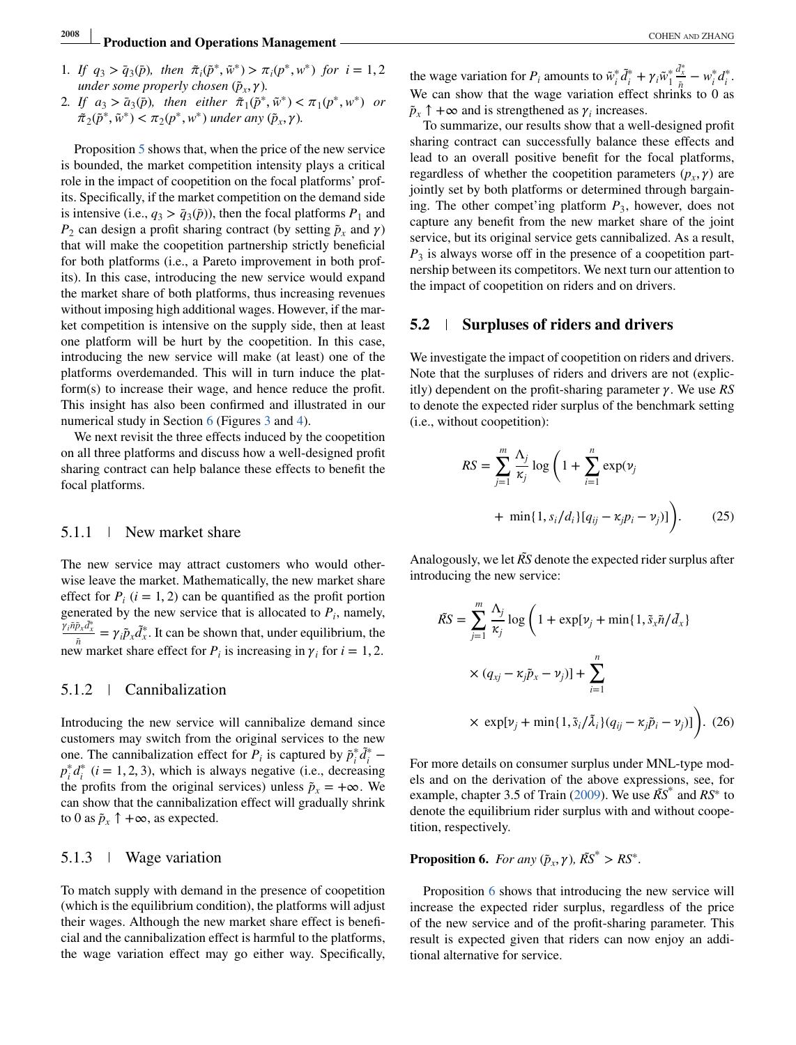# **2008 Production and Operations Management COHEN AND ZHANG <b>Production and Operations Management**

- 1*.* If  $q_3 > \bar{q}_3(\bar{p})$ , then  $\tilde{\pi}_i(\tilde{p}^*, \tilde{w}^*) > \pi_i(p^*, w^*)$  for  $i = 1, 2$ *under some properly chosen* ( $\tilde{p}_x$ , $\gamma$ ).
- 2*.* If  $a_3 > \bar{a}_3(\bar{p})$ , then either  $\tilde{\pi}_1(\tilde{p}^*, \tilde{w}^*) < \pi_1(p^*, w^*)$  or  $\tilde{\pi}_2(\tilde{p}^*, \tilde{w}^*) < \pi_2(p^*, w^*)$  *under any*  $(\tilde{p}_x, \gamma)$ *.*

Proposition [5](#page-10-0) shows that, when the price of the new service is bounded, the market competition intensity plays a critical role in the impact of coopetition on the focal platforms' profits. Specifically, if the market competition on the demand side is intensive (i.e.,  $q_3 > \bar{q}_3(\bar{p})$ ), then the focal platforms  $P_1$  and  $P_2$  can design a profit sharing contract (by setting  $\tilde{p}_x$  and  $\gamma$ ) that will make the coopetition partnership strictly beneficial for both platforms (i.e., a Pareto improvement in both profits). In this case, introducing the new service would expand the market share of both platforms, thus increasing revenues without imposing high additional wages. However, if the market competition is intensive on the supply side, then at least one platform will be hurt by the coopetition. In this case, introducing the new service will make (at least) one of the platforms overdemanded. This will in turn induce the platform(s) to increase their wage, and hence reduce the profit. This insight has also been confirmed and illustrated in our numerical study in Section [6](#page-12-0) (Figures [3](#page-15-0) and [4\)](#page-15-0).

We next revisit the three effects induced by the coopetition on all three platforms and discuss how a well-designed profit sharing contract can help balance these effects to benefit the focal platforms.

#### 5.1.1 New market share

The new service may attract customers who would otherwise leave the market. Mathematically, the new market share effect for  $P_i$  ( $i = 1, 2$ ) can be quantified as the profit portion generated by the new service that is allocated to  $P_i$ , namely,  $\frac{\partial y_i \tilde{n} \tilde{p}_x d^*_{x}}{\tilde{n}} = \gamma_i \tilde{p}_x d^*_{x}$ . It can be shown that, under equilibrium, the new market share effect for *P<sub>i</sub>* is increasing in  $\gamma$ <sub>*i*</sub> for *i* = 1, 2.

#### 5.1.2 Cannibalization

Introducing the new service will cannibalize demand since customers may switch from the original services to the new one. The cannibalization effect for  $P_i$  is captured by  $\tilde{p}_i^* \tilde{d}_i^*$  –  $p_i^* d_i^*$  (*i* = 1, 2, 3), which is always negative (i.e., decreasing the profits from the original services) unless  $\tilde{p}_x = +\infty$ . We can show that the cannibalization effect will gradually shrink to 0 as  $\tilde{p}_x \uparrow +\infty$ , as expected.

## 5.1.3 Wage variation

To match supply with demand in the presence of coopetition (which is the equilibrium condition), the platforms will adjust their wages. Although the new market share effect is beneficial and the cannibalization effect is harmful to the platforms, the wage variation effect may go either way. Specifically,

the wage variation for *P<sub>i</sub>* amounts to  $\tilde{w}_i^* \tilde{d}_i^* + \gamma_i \tilde{w}_1^*$  $\frac{d^*_{x}}{dt} - w_i^* d_i^*.$ We can show that the wage variation effect shrinks to  $0$  as  $\tilde{p}_x \uparrow +\infty$  and is strengthened as  $\gamma_i$  increases.

To summarize, our results show that a well-designed profit sharing contract can successfully balance these effects and lead to an overall positive benefit for the focal platforms, regardless of whether the coopetition parameters  $(p_x, \gamma)$  are jointly set by both platforms or determined through bargaining. The other compet'ing platform *P*3, however, does not capture any benefit from the new market share of the joint service, but its original service gets cannibalized. As a result,  $P_3$  is always worse off in the presence of a coopetition partnership between its competitors. We next turn our attention to the impact of coopetition on riders and on drivers.

#### **5.2 Surpluses of riders and drivers**

We investigate the impact of coopetition on riders and drivers. Note that the surpluses of riders and drivers are not (explicitly) dependent on the profit-sharing parameter  $\gamma$ . We use *RS* to denote the expected rider surplus of the benchmark setting (i.e., without coopetition):

$$
RS = \sum_{j=1}^{m} \frac{\Lambda_j}{\kappa_j} \log \left( 1 + \sum_{i=1}^{n} \exp(\nu_j + \min\{1, s_i/d_i\} [q_{ij} - \kappa_j p_i - \nu_j)] \right). \tag{25}
$$

Analogously, we let *RS*̃ denote the expected rider surplus after introducing the new service:

$$
\tilde{RS} = \sum_{j=1}^{m} \frac{\Lambda_j}{\kappa_j} \log \left( 1 + \exp[\nu_j + \min\{1, \tilde{s}_x \tilde{n}/\tilde{d}_x\} \right)
$$

$$
\times (q_{xj} - \kappa_j \tilde{p}_x - \nu_j)] + \sum_{i=1}^{n}
$$

$$
\times \exp[\nu_j + \min\{1, \tilde{s}_i/\tilde{\lambda}_i\}(q_{ij} - \kappa_j \tilde{p}_i - \nu_j)] \Big).
$$
(26)

For more details on consumer surplus under MNL-type models and on the derivation of the above expressions, see, for example, chapter 3.5 of Train [\(2009\)](#page-17-0). We use *RS*̃ <sup>∗</sup> and *RS*<sup>∗</sup> to denote the equilibrium rider surplus with and without coopetition, respectively.

**Proposition 6.** *For any*  $(\tilde{p}_x, \gamma)$ *,*  $\tilde{RS}^* > RS^*$ *.* 

Proposition 6 shows that introducing the new service will increase the expected rider surplus, regardless of the price of the new service and of the profit-sharing parameter. This result is expected given that riders can now enjoy an additional alternative for service.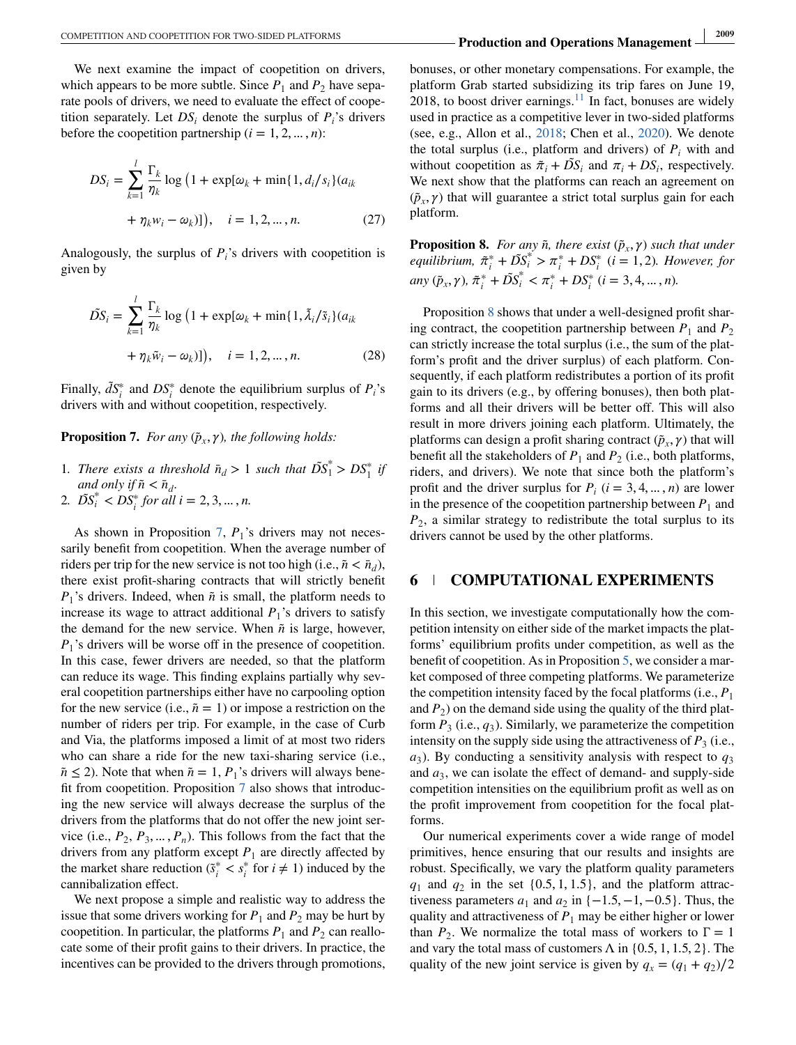<span id="page-12-0"></span>We next examine the impact of coopetition on drivers, which appears to be more subtle. Since  $P_1$  and  $P_2$  have separate pools of drivers, we need to evaluate the effect of coopetition separately. Let  $DS_i$  denote the surplus of  $P_i$ 's drivers before the coopetition partnership  $(i = 1, 2, ..., n)$ :

$$
DS_{i} = \sum_{k=1}^{l} \frac{\Gamma_{k}}{\eta_{k}} \log (1 + \exp[\omega_{k} + \min\{1, d_{i}/s_{i}\}] (a_{ik} + \eta_{k} w_{i} - \omega_{k})]), \quad i = 1, 2, ..., n.
$$
 (27)

Analogously, the surplus of  $P_i$ 's drivers with coopetition is given by

$$
\tilde{DS}_i = \sum_{k=1}^l \frac{\Gamma_k}{\eta_k} \log (1 + \exp[\omega_k + \min\{1, \tilde{\lambda}_i/\tilde{s}_i\} (a_{ik} + \eta_k \tilde{w}_i - \omega_k)])
$$
\n
$$
+ (1 + \exp[\omega_k + \min\{1, \tilde{\lambda}_i/\tilde{s}_i\} (a_{ik} - \omega_k)]
$$
\n
$$
- (28)
$$

Finally,  $\tilde{d}S_i^*$  and  $DS_i^*$  denote the equilibrium surplus of  $P_i$ 's drivers with and without coopetition, respectively.

**Proposition 7.** *For any*  $(\tilde{p}_x, \gamma)$ *, the following holds:* 

- 1*. There exists a threshold*  $\bar{n}_d > 1$  *such that*  $\tilde{DS}_1^* > DS_1^*$  *if and only if*  $\tilde{n} < \bar{n}_d$ .
- 2*.*  $\overrightarrow{DS_i}^* < \overrightarrow{DS_i}^*$  for all  $i = 2, 3, ..., n$ .

As shown in Proposition 7,  $P_1$ 's drivers may not necessarily benefit from coopetition. When the average number of riders per trip for the new service is not too high (i.e.,  $\tilde{n} < \bar{n}_d$ ), there exist profit-sharing contracts that will strictly benefit  $P_1$ 's drivers. Indeed, when  $\tilde{n}$  is small, the platform needs to increase its wage to attract additional  $P_1$ 's drivers to satisfy the demand for the new service. When  $\tilde{n}$  is large, however,  $P_1$ 's drivers will be worse off in the presence of coopetition. In this case, fewer drivers are needed, so that the platform can reduce its wage. This finding explains partially why several coopetition partnerships either have no carpooling option for the new service (i.e.,  $\tilde{n} = 1$ ) or impose a restriction on the number of riders per trip. For example, in the case of Curb and Via, the platforms imposed a limit of at most two riders who can share a ride for the new taxi-sharing service (i.e.,  $\tilde{n} \le 2$ ). Note that when  $\tilde{n} = 1$ , *P*<sub>1</sub>'s drivers will always benefit from coopetition. Proposition 7 also shows that introducing the new service will always decrease the surplus of the drivers from the platforms that do not offer the new joint service (i.e.,  $P_2, P_3, \dots, P_n$ ). This follows from the fact that the drivers from any platform except  $P_1$  are directly affected by the market share reduction ( $\tilde{s}^*$  <  $s^*$  for  $i \neq 1$ ) induced by the cannibalization effect.

We next propose a simple and realistic way to address the issue that some drivers working for  $P_1$  and  $P_2$  may be hurt by coopetition. In particular, the platforms  $P_1$  and  $P_2$  can reallocate some of their profit gains to their drivers. In practice, the incentives can be provided to the drivers through promotions,

bonuses, or other monetary compensations. For example, the platform Grab started subsidizing its trip fares on June 19, 2018, to boost driver earnings[.](#page-17-0)<sup>11</sup> In fact, bonuses are widely used in practice as a competitive lever in two-sided platforms (see, e.g., Allon et al., [2018;](#page-17-0) Chen et al., [2020\)](#page-17-0). We denote the total surplus (i.e., platform and drivers) of  $P_i$  with and without coopetition as  $\tilde{\pi}_i + \tilde{DS}_i$  and  $\pi_i + DS_i$ , respectively. We next show that the platforms can reach an agreement on  $(\tilde{p}_x, \gamma)$  that will guarantee a strict total surplus gain for each platform.

**Proposition 8.** *For any*  $\tilde{n}$ *, there exist*  $(\tilde{p}_x, \gamma)$  *such that under equilibrium,*  $\tilde{\pi}_i^* + \tilde{D}S_i^* > \pi_i^* + DS_i^*$  *(i = 1, 2). However, for any*  $(\tilde{p}_x, \gamma)$ ,  $\tilde{\pi}_i^* + \tilde{DS}_i^* < \pi_i^* + DS_i^*$   $(i = 3, 4, ..., n)$ .

Proposition 8 shows that under a well-designed profit sharing contract, the coopetition partnership between  $P_1$  and  $P_2$ can strictly increase the total surplus (i.e., the sum of the platform's profit and the driver surplus) of each platform. Consequently, if each platform redistributes a portion of its profit gain to its drivers (e.g., by offering bonuses), then both platforms and all their drivers will be better off. This will also result in more drivers joining each platform. Ultimately, the platforms can design a profit sharing contract  $(\tilde{p}_x, \gamma)$  that will benefit all the stakeholders of  $P_1$  and  $P_2$  (i.e., both platforms, riders, and drivers). We note that since both the platform's profit and the driver surplus for  $P_i$  ( $i = 3, 4, ..., n$ ) are lower in the presence of the coopetition partnership between  $P_1$  and *P*2, a similar strategy to redistribute the total surplus to its drivers cannot be used by the other platforms.

#### **6 COMPUTATIONAL EXPERIMENTS**

In this section, we investigate computationally how the competition intensity on either side of the market impacts the platforms' equilibrium profits under competition, as well as the benefit of coopetition. As in Proposition [5,](#page-10-0) we consider a market composed of three competing platforms. We parameterize the competition intensity faced by the focal platforms (i.e.,  $P_1$ ) and  $P_2$ ) on the demand side using the quality of the third platform  $P_3$  (i.e.,  $q_3$ ). Similarly, we parameterize the competition intensity on the supply side using the attractiveness of  $P_3$  (i.e.,  $a_3$ ). By conducting a sensitivity analysis with respect to  $q_3$ and  $a_3$ , we can isolate the effect of demand- and supply-side competition intensities on the equilibrium profit as well as on the profit improvement from coopetition for the focal platforms.

Our numerical experiments cover a wide range of model primitives, hence ensuring that our results and insights are robust. Specifically, we vary the platform quality parameters  $q_1$  and  $q_2$  in the set  $\{0.5, 1, 1.5\}$ , and the platform attractiveness parameters  $a_1$  and  $a_2$  in  $\{-1.5, -1, -0.5\}$ . Thus, the quality and attractiveness of  $P_1$  may be either higher or lower than  $P_2$ . We normalize the total mass of workers to  $\Gamma = 1$ and vary the total mass of customers  $\Lambda$  in {0.5, 1, 1.5, 2}. The quality of the new joint service is given by  $q_x = (q_1 + q_2)/2$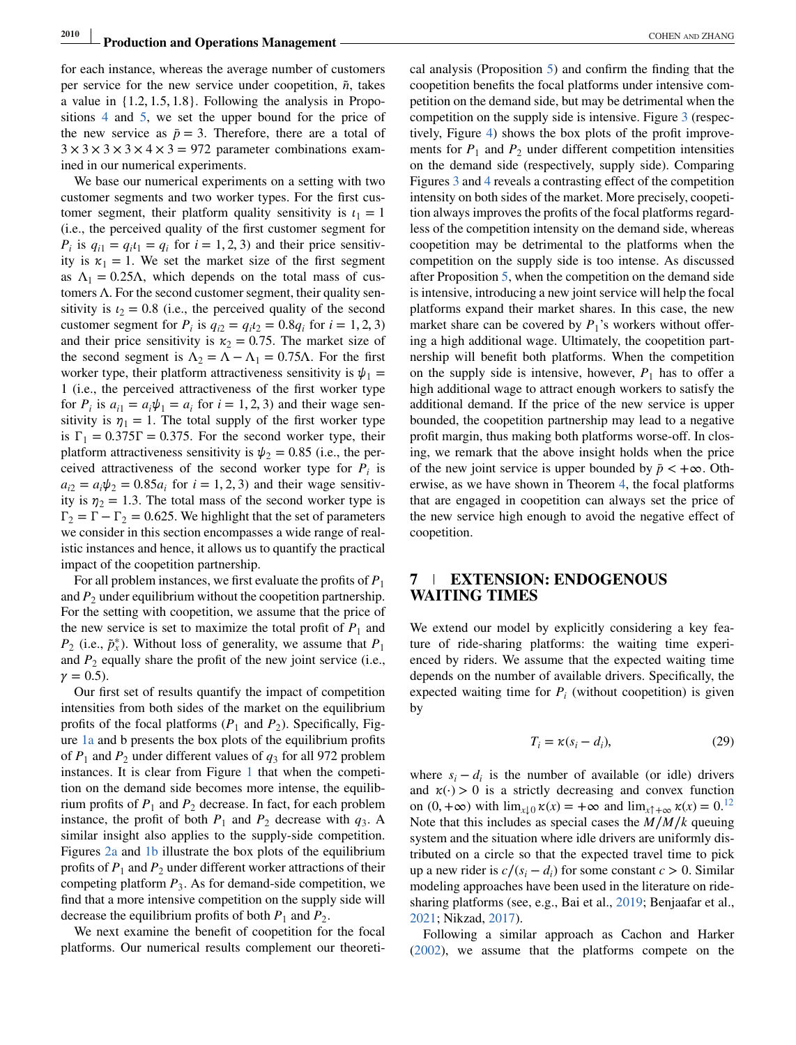<span id="page-13-0"></span>for each instance, whereas the average number of customers per service for the new service under coopetition,  $\tilde{n}$ , takes a value in {1.2, 1.5, 1.8}. Following the analysis in Propositions [4](#page-10-0) and [5,](#page-10-0) we set the upper bound for the price of the new service as  $\bar{p} = 3$ . Therefore, there are a total of  $3 \times 3 \times 3 \times 3 \times 4 \times 3 = 972$  parameter combinations examined in our numerical experiments.

We base our numerical experiments on a setting with two customer segments and two worker types. For the first customer segment, their platform quality sensitivity is  $t_1 = 1$ (i.e., the perceived quality of the first customer segment for  $P_i$  is  $q_{i1} = q_i t_1 = q_i$  for  $i = 1, 2, 3$  and their price sensitivity is  $\kappa_1 = 1$ . We set the market size of the first segment as  $\Lambda_1 = 0.25\Lambda$ , which depends on the total mass of customers  $\Lambda$ . For the second customer segment, their quality sensitivity is  $t_2 = 0.8$  (i.e., the perceived quality of the second customer segment for  $P_i$  is  $q_{i2} = q_i t_2 = 0.8q_i$  for  $i = 1, 2, 3$ ) and their price sensitivity is  $\kappa_2 = 0.75$ . The market size of the second segment is  $\Lambda_2 = \Lambda - \Lambda_1 = 0.75\Lambda$ . For the first worker type, their platform attractiveness sensitivity is  $\psi_1 =$ 1 (i.e., the perceived attractiveness of the first worker type for  $P_i$  is  $a_{i1} = a_i \psi_1 = a_i$  for  $i = 1, 2, 3$  and their wage sensitivity is  $\eta_1 = 1$ . The total supply of the first worker type is  $\Gamma_1 = 0.375\Gamma = 0.375$ . For the second worker type, their platform attractiveness sensitivity is  $\psi_2 = 0.85$  (i.e., the perceived attractiveness of the second worker type for  $P_i$  is  $a_{i2} = a_i \psi_2 = 0.85 a_i$  for  $i = 1, 2, 3$  and their wage sensitivity is  $\eta_2 = 1.3$ . The total mass of the second worker type is  $\Gamma_2 = \Gamma - \Gamma_2 = 0.625$ . We highlight that the set of parameters we consider in this section encompasses a wide range of realistic instances and hence, it allows us to quantify the practical impact of the coopetition partnership.

For all problem instances, we first evaluate the profits of *P*<sup>1</sup> and  $P_2$  under equilibrium without the coopetition partnership. For the setting with coopetition, we assume that the price of the new service is set to maximize the total profit of  $P_1$  and *P*<sub>2</sub> (i.e.,  $\tilde{p}_x^*$ ). Without loss of generality, we assume that *P*<sub>1</sub> and  $P_2$  equally share the profit of the new joint service (i.e.,  $\gamma = 0.5$ ).

Our first set of results quantify the impact of competition intensities from both sides of the market on the equilibrium profits of the focal platforms  $(P_1 \text{ and } P_2)$ . Specifically, Figure [1a](#page-14-0) and b presents the box plots of the equilibrium profits of  $P_1$  and  $P_2$  under different values of  $q_3$  for all 972 problem instances. It is clear from Figure [1](#page-14-0) that when the competition on the demand side becomes more intense, the equilibrium profits of  $P_1$  and  $P_2$  decrease. In fact, for each problem instance, the profit of both  $P_1$  and  $P_2$  decrease with  $q_3$ . A similar insight also applies to the supply-side competition. Figures [2a](#page-14-0) and [1b](#page-14-0) illustrate the box plots of the equilibrium profits of  $P_1$  and  $P_2$  under different worker attractions of their competing platform  $P_3$ . As for demand-side competition, we find that a more intensive competition on the supply side will decrease the equilibrium profits of both  $P_1$  and  $P_2$ .

We next examine the benefit of coopetition for the focal platforms. Our numerical results complement our theoreti-

cal analysis (Proposition [5\)](#page-10-0) and confirm the finding that the coopetition benefits the focal platforms under intensive competition on the demand side, but may be detrimental when the competition on the supply side is intensive. Figure [3](#page-15-0) (respectively, Figure [4\)](#page-15-0) shows the box plots of the profit improvements for  $P_1$  and  $P_2$  under different competition intensities on the demand side (respectively, supply side). Comparing Figures [3](#page-15-0) and [4](#page-15-0) reveals a contrasting effect of the competition intensity on both sides of the market. More precisely, coopetition always improves the profits of the focal platforms regardless of the competition intensity on the demand side, whereas coopetition may be detrimental to the platforms when the competition on the supply side is too intense. As discussed after Proposition [5,](#page-10-0) when the competition on the demand side is intensive, introducing a new joint service will help the focal platforms expand their market shares. In this case, the new market share can be covered by  $P_1$ 's workers without offering a high additional wage. Ultimately, the coopetition partnership will benefit both platforms. When the competition on the supply side is intensive, however,  $P_1$  has to offer a high additional wage to attract enough workers to satisfy the additional demand. If the price of the new service is upper bounded, the coopetition partnership may lead to a negative profit margin, thus making both platforms worse-off. In closing, we remark that the above insight holds when the price of the new joint service is upper bounded by  $\bar{p}$  < + $\infty$ . Otherwise, as we have shown in Theorem [4,](#page-9-0) the focal platforms that are engaged in coopetition can always set the price of the new service high enough to avoid the negative effect of coopetition.

## **7 EXTENSION: ENDOGENOUS WAITING TIMES**

We extend our model by explicitly considering a key feature of ride-sharing platforms: the waiting time experienced by riders. We assume that the expected waiting time depends on the number of available drivers. Specifically, the expected waiting time for  $P_i$  (without coopetition) is given by

$$
T_i = \kappa(s_i - d_i),\tag{29}
$$

where  $s_i - d_i$  is the number of available (or idle) drivers and  $\kappa(\cdot) > 0$  is a strictly decreasing and convex function on  $(0, +\infty)$  with  $\lim_{x\downarrow 0} \kappa(x) = +\infty$  and  $\lim_{x\uparrow +\infty} \kappa(x) = 0.12$  $\lim_{x\uparrow +\infty} \kappa(x) = 0.12$  $\lim_{x\uparrow +\infty} \kappa(x) = 0.12$ Note that this includes as special cases the *M*∕*M*∕*k* queuing system and the situation where idle drivers are uniformly distributed on a circle so that the expected travel time to pick up a new rider is  $c/(s_i - d_i)$  for some constant  $c > 0$ . Similar modeling approaches have been used in the literature on ridesharing platforms (see, e.g., Bai et al., [2019;](#page-17-0) Benjaafar et al., [2021;](#page-17-0) Nikzad, [2017\)](#page-17-0).

Following a similar approach as Cachon and Harker [\(2002\)](#page-17-0), we assume that the platforms compete on the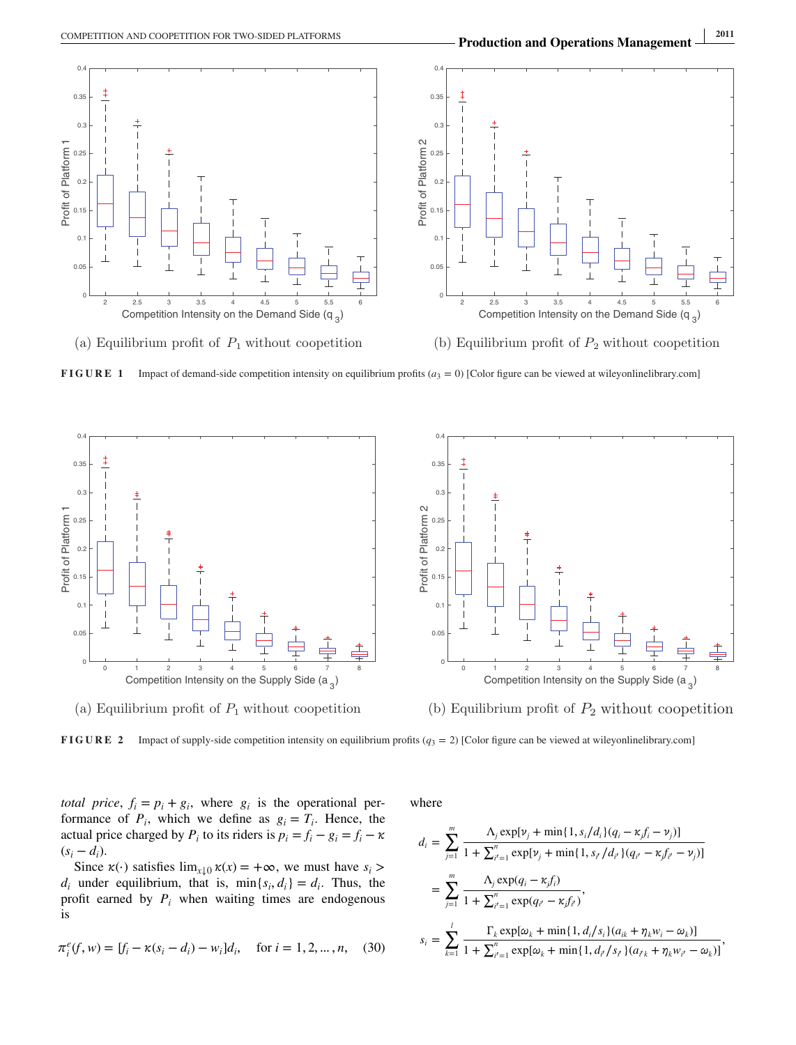<span id="page-14-0"></span>

(a) Equilibrium profit of  $P_1$  without coopetition

**FIGURE 1** Impact of demand-side competition intensity on equilibrium profits  $(a_3 = 0)$  [Color figure can be viewed at wileyonlinelibrary.com]



(a) Equilibrium profit of  $P_1$  without coopetition

(b) Equilibrium profit of  $P_2$  without coopetition

**FIGURE 2** Impact of supply-side competition intensity on equilibrium profits ( $q_3 = 2$ ) [Color figure can be viewed at wileyonlinelibrary.com]

*total price*,  $f_i = p_i + g_i$ , where  $g_i$  is the operational performance of  $P_i$ , which we define as  $g_i = T_i$ . Hence, the actual price charged by  $P_i$  to its riders is  $p_i = f_i - g_i = f_i - \kappa$  $(s_i - d_i)$ .

Since  $\kappa(\cdot)$  satisfies  $\lim_{x \downarrow 0} \kappa(x) = +\infty$ , we must have  $s_i >$  $d_i$  under equilibrium, that is,  $\min\{s_i, d_i\} = d_i$ . Thus, the profit earned by  $P_i$  when waiting times are endogenous is

$$
\pi_i^e(f, w) = [f_i - \kappa(s_i - d_i) - w_i]d_i, \quad \text{for } i = 1, 2, \dots, n,
$$
 (30)

where

$$
d_i = \sum_{j=1}^{m} \frac{\Lambda_j \exp[\nu_j + \min\{1, s_i/d_i\}(q_i - \kappa_j f_i - \nu_j)]}{1 + \sum_{i'=1}^{n} \exp[\nu_j + \min\{1, s_{i'}/d_{i'}\}(q_{i'} - \kappa_j f_{i'} - \nu_j)]}
$$
  
\n
$$
= \sum_{j=1}^{m} \frac{\Lambda_j \exp(q_i - \kappa_j f_i)}{1 + \sum_{i'=1}^{n} \exp(q_{i'} - \kappa_j f_{i'})},
$$
  
\n
$$
s_i = \sum_{k=1}^{l} \frac{\Gamma_k \exp[\omega_k + \min\{1, d_i/s_i\}(a_{ik} + \eta_k w_i - \omega_k)]}{1 + \sum_{i'=1}^{n} \exp[\omega_k + \min\{1, d_{i'}/s_{i'}\}(a_{i'k} + \eta_k w_{i'} - \omega_k)]},
$$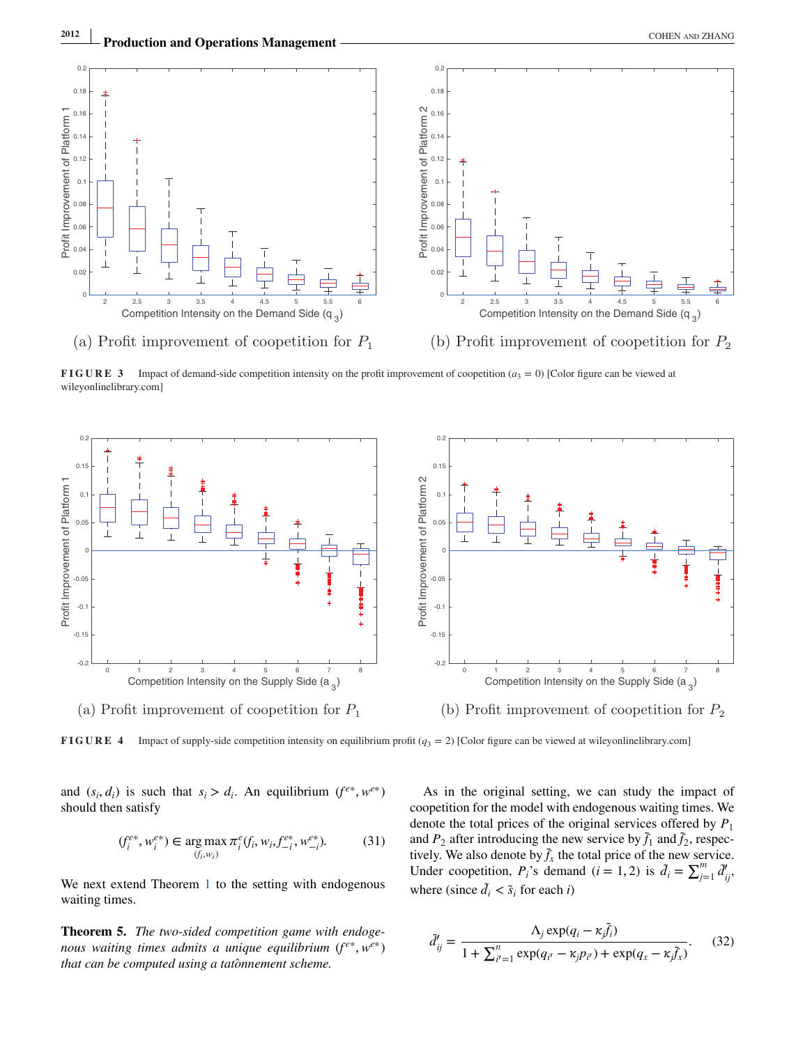<span id="page-15-0"></span>

**FIGURE 3** Impact of demand-side competition intensity on the profit improvement of coopetition  $(a_3 = 0)$  [Color figure can be viewed at wileyonlinelibrary.com]



**FIGURE 4** Impact of supply-side competition intensity on equilibrium profit  $(q_3 = 2)$  [Color figure can be viewed at wileyonlinelibrary.com]

and  $(s_i, d_i)$  is such that  $s_i > d_i$ . An equilibrium  $(f^{e*}, w^{e*})$ should then satisfy

$$
(f_i^{e*}, w_i^{e*}) \in \underset{(f_i, w_i)}{\arg \max} \pi_i^e(f_i, w_i, f_{-i}^{e*}, w_{-i}^{e*}).
$$
 (31)

We next extend Theorem [1](#page-5-0) to the setting with endogenous waiting times.

**Theorem 5.** *The two-sided competition game with endogenous waiting times admits a unique equilibrium*  $(f^{e*}, w^{e*})$ *that can be computed using a tatônnement scheme.* 

As in the original setting, we can study the impact of coopetition for the model with endogenous waiting times. We denote the total prices of the original services offered by *P*<sup>1</sup> and  $P_2$  after introducing the new service by  $\tilde{f}_1$  and  $\tilde{f}_2$ , respectively. We also denote by  $\tilde{f}_x$  the total price of the new service. Under coopetition,  $P_i$ 's demand (*i* = 1, 2) is  $\tilde{d}_i = \sum_{j=1}^m \tilde{d}'_{ij}$ where (since  $\tilde{d}_i < \tilde{s}_i$  for each *i*)

$$
\tilde{d}'_{ij} = \frac{\Lambda_j \exp(q_i - \kappa_j \tilde{f}_i)}{1 + \sum_{i'=1}^n \exp(q_{i'} - \kappa_j p_{i'}) + \exp(q_x - \kappa_j \tilde{f}_x)}.
$$
(32)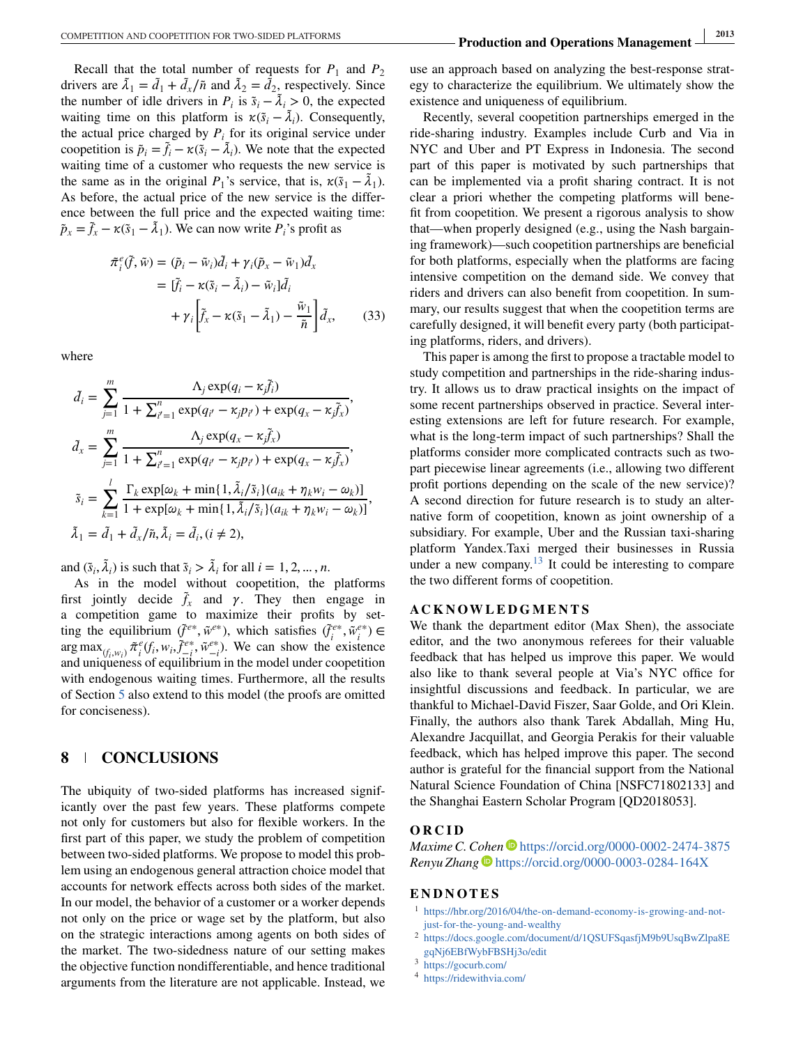<span id="page-16-0"></span>Recall that the total number of requests for  $P_1$  and  $P_2$ drivers are  $\tilde{\lambda}_1 = \tilde{d}_1 + \tilde{d}_x/\tilde{n}$  and  $\tilde{\lambda}_2 = \tilde{d}_2$ , respectively. Since the number of idle drivers in  $P_i$  is  $\tilde{s}_i - \tilde{\lambda}_i > 0$ , the expected waiting time on this platform is  $\kappa(\tilde{s}_i - \tilde{\lambda}_i)$ . Consequently, the actual price charged by  $P_i$  for its original service under coopetition is  $\tilde{p}_i = \tilde{f}_i - \kappa(\tilde{s}_i - \tilde{\lambda}_i)$ . We note that the expected waiting time of a customer who requests the new service is the same as in the original  $P_1$ 's service, that is,  $\kappa(\tilde{s}_1 - \tilde{\lambda}_1)$ . As before, the actual price of the new service is the difference between the full price and the expected waiting time:  $\tilde{p}_x = \tilde{f}_x - \kappa(\tilde{s}_1 - \tilde{\lambda}_1)$ . We can now write  $P_i$ 's profit as

$$
\tilde{\pi}_i^e(\tilde{f}, \tilde{w}) = (\tilde{p}_i - \tilde{w}_i)\tilde{d}_i + \gamma_i(\tilde{p}_x - \tilde{w}_1)\tilde{d}_x \n= [\tilde{f}_i - \kappa(\tilde{s}_i - \tilde{\lambda}_i) - \tilde{w}_i]\tilde{d}_i \n+ \gamma_i \left[ \tilde{f}_x - \kappa(\tilde{s}_1 - \tilde{\lambda}_1) - \frac{\tilde{w}_1}{\tilde{n}} \right] \tilde{d}_x, \tag{33}
$$

where

$$
\tilde{d}_{i} = \sum_{j=1}^{m} \frac{\Lambda_{j} \exp(q_{i} - \kappa_{j} \tilde{f}_{i})}{1 + \sum_{i'=1}^{n} \exp(q_{i'} - \kappa_{j} p_{i'}) + \exp(q_{x} - \kappa_{j} \tilde{f}_{x})},
$$
\n
$$
\tilde{d}_{x} = \sum_{j=1}^{m} \frac{\Lambda_{j} \exp(q_{x} - \kappa_{j} \tilde{f}_{x})}{1 + \sum_{i'=1}^{n} \exp(q_{i'} - \kappa_{j} p_{i'}) + \exp(q_{x} - \kappa_{j} \tilde{f}_{x})},
$$
\n
$$
\tilde{s}_{i} = \sum_{k=1}^{l} \frac{\Gamma_{k} \exp[\omega_{k} + \min\{1, \tilde{\lambda}_{i}/\tilde{s}_{i}\}(a_{ik} + \eta_{k} w_{i} - \omega_{k})]}{1 + \exp[\omega_{k} + \min\{1, \tilde{\lambda}_{i}/\tilde{s}_{i}\}(a_{ik} + \eta_{k} w_{i} - \omega_{k})]},
$$
\n
$$
\tilde{\lambda}_{1} = \tilde{d}_{1} + \tilde{d}_{x}/\tilde{n}, \tilde{\lambda}_{i} = \tilde{d}_{i}, (i \neq 2),
$$

and  $(\tilde{s}_i, \tilde{\lambda}_i)$  is such that  $\tilde{s}_i > \tilde{\lambda}_i$  for all  $i = 1, 2, ..., n$ .

As in the model without coopetition, the platforms first jointly decide  $\tilde{f}_x$  and  $\gamma$ . They then engage in a competition game to maximize their profits by setting the equilibrium  $(\tilde{f}^{e*}, \tilde{w}^{e*})$ , which satisfies  $(\tilde{f}^{e*}_i, \tilde{w}^{e*}_i) \in$  $\arg \max_{(f_i, w_i)} \tilde{\pi}_i^e(f_i, w_i, \tilde{f}_{-i}^{e*}, \tilde{w}_{-i}^{e*})$ . We can show the existence and uniqueness of equilibrium in the model under coopetition with endogenous waiting times. Furthermore, all the results of Section [5](#page-9-0) also extend to this model (the proofs are omitted for conciseness).

# **8 CONCLUSIONS**

The ubiquity of two-sided platforms has increased significantly over the past few years. These platforms compete not only for customers but also for flexible workers. In the first part of this paper, we study the problem of competition between two-sided platforms. We propose to model this problem using an endogenous general attraction choice model that accounts for network effects across both sides of the market. In our model, the behavior of a customer or a worker depends not only on the price or wage set by the platform, but also on the strategic interactions among agents on both sides of the market. The two-sidedness nature of our setting makes the objective function nondifferentiable, and hence traditional arguments from the literature are not applicable. Instead, we

use an approach based on analyzing the best-response strategy to characterize the equilibrium. We ultimately show the existence and uniqueness of equilibrium.

Recently, several coopetition partnerships emerged in the ride-sharing industry. Examples include Curb and Via in NYC and Uber and PT Express in Indonesia. The second part of this paper is motivated by such partnerships that can be implemented via a profit sharing contract. It is not clear a priori whether the competing platforms will benefit from coopetition. We present a rigorous analysis to show that—when properly designed (e.g., using the Nash bargaining framework)—such coopetition partnerships are beneficial for both platforms, especially when the platforms are facing intensive competition on the demand side. We convey that riders and drivers can also benefit from coopetition. In summary, our results suggest that when the coopetition terms are carefully designed, it will benefit every party (both participating platforms, riders, and drivers).

This paper is among the first to propose a tractable model to study competition and partnerships in the ride-sharing industry. It allows us to draw practical insights on the impact of some recent partnerships observed in practice. Several interesting extensions are left for future research. For example, what is the long-term impact of such partnerships? Shall the platforms consider more complicated contracts such as twopart piecewise linear agreements (i.e., allowing two different profit portions depending on the scale of the new service)? A second direction for future research is to study an alternative form of coopetition, known as joint ownership of a subsidiary. For example, Uber and the Russian taxi-sharing platform Yandex.Taxi merged their businesses in Russia under a new company[.](#page-17-0)<sup>13</sup> It could be interesting to compare the two different forms of coopetition.

#### **ACKNOWLEDGMENTS**

We thank the department editor (Max Shen), the associate editor, and the two anonymous referees for their valuable feedback that has helped us improve this paper. We would also like to thank several people at Via's NYC office for insightful discussions and feedback. In particular, we are thankful to Michael-David Fiszer, Saar Golde, and Ori Klein. Finally, the authors also thank Tarek Abdallah, Ming Hu, Alexandre Jacquillat, and Georgia Perakis for their valuable feedback, which has helped improve this paper. The second author is grateful for the financial support from the National Natural Science Foundation of China [NSFC71802133] and the Shanghai Eastern Scholar Program [QD2018053].

#### **ORCID**

*Maxime C. Cohen* • <https://orcid.org/0000-0002-2474-3875> *Renyu Zhang* <https://orcid.org/0000-0003-0284-164X>

#### **ENDNOTES**

- <sup>1</sup> [https://hbr.org/2016/04/the-on-demand-economy-is-growing-and-not](https://hbr.org/2016/04/the-on-demand-economy-is-growing-and-not-just-for-the-young-and-wealthy)[just-for-the-young-and-wealthy](https://hbr.org/2016/04/the-on-demand-economy-is-growing-and-not-just-for-the-young-and-wealthy)
- <sup>2</sup> [https://docs.google.com/document/d/1QSUFSqasfjM9b9UsqBwZlpa8E](https://docs.google.com/document/d/1QSUFSqasfjM9b9UsqBwZlpa8EgqNj6EBfWybFBSHj3o/edit) [gqNj6EBfWybFBSHj3o/edit](https://docs.google.com/document/d/1QSUFSqasfjM9b9UsqBwZlpa8EgqNj6EBfWybFBSHj3o/edit)
- <sup>3</sup> <https://gocurb.com/>
- <sup>4</sup> <https://ridewithvia.com/>